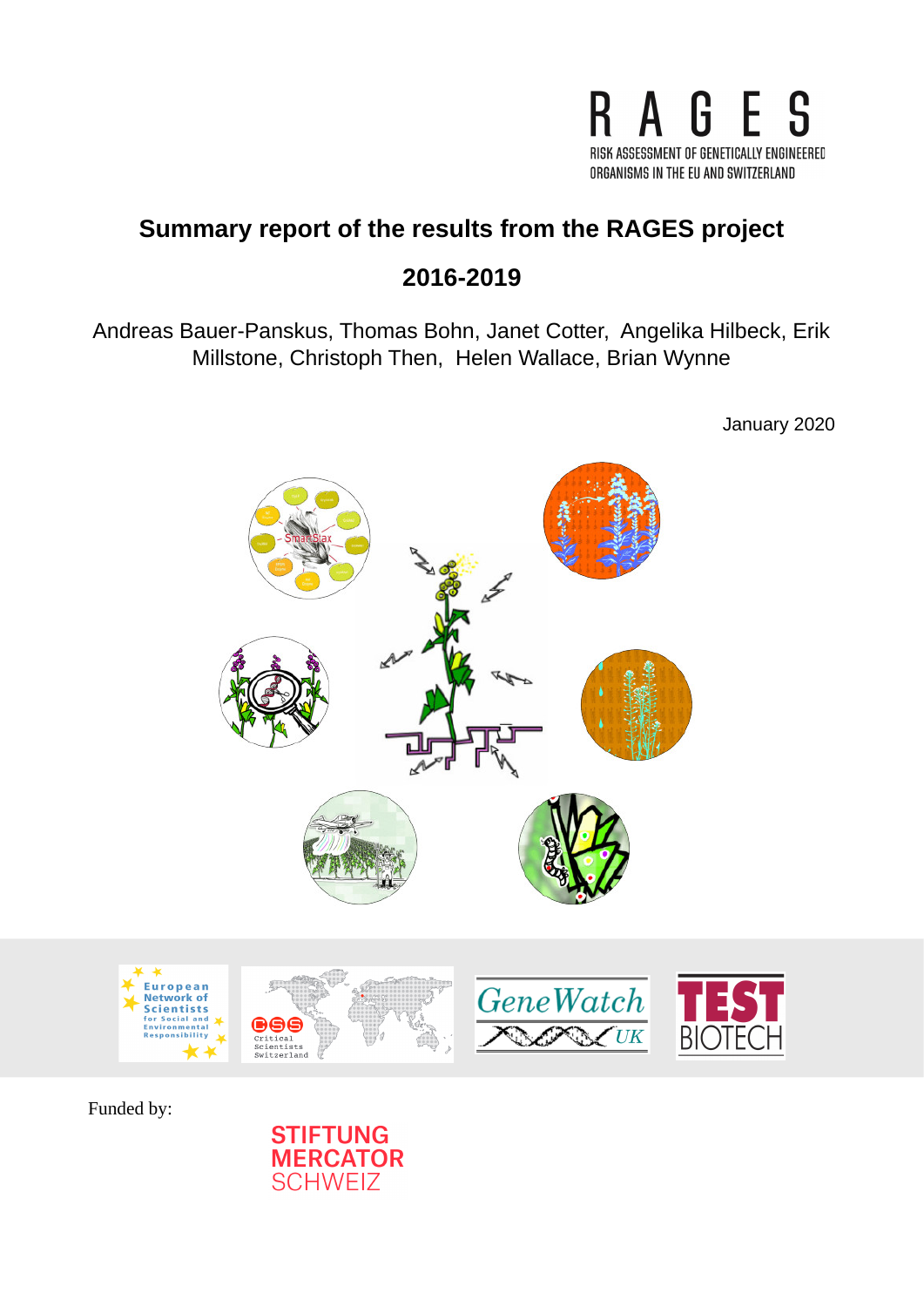

# **Summary report of the results from the RAGES project**

# **2016-2019**

Andreas Bauer-Panskus, Thomas Bohn, Janet Cotter, Angelika Hilbeck, Erik Millstone, Christoph Then, Helen Wallace, Brian Wynne

January 2020



Funded by:

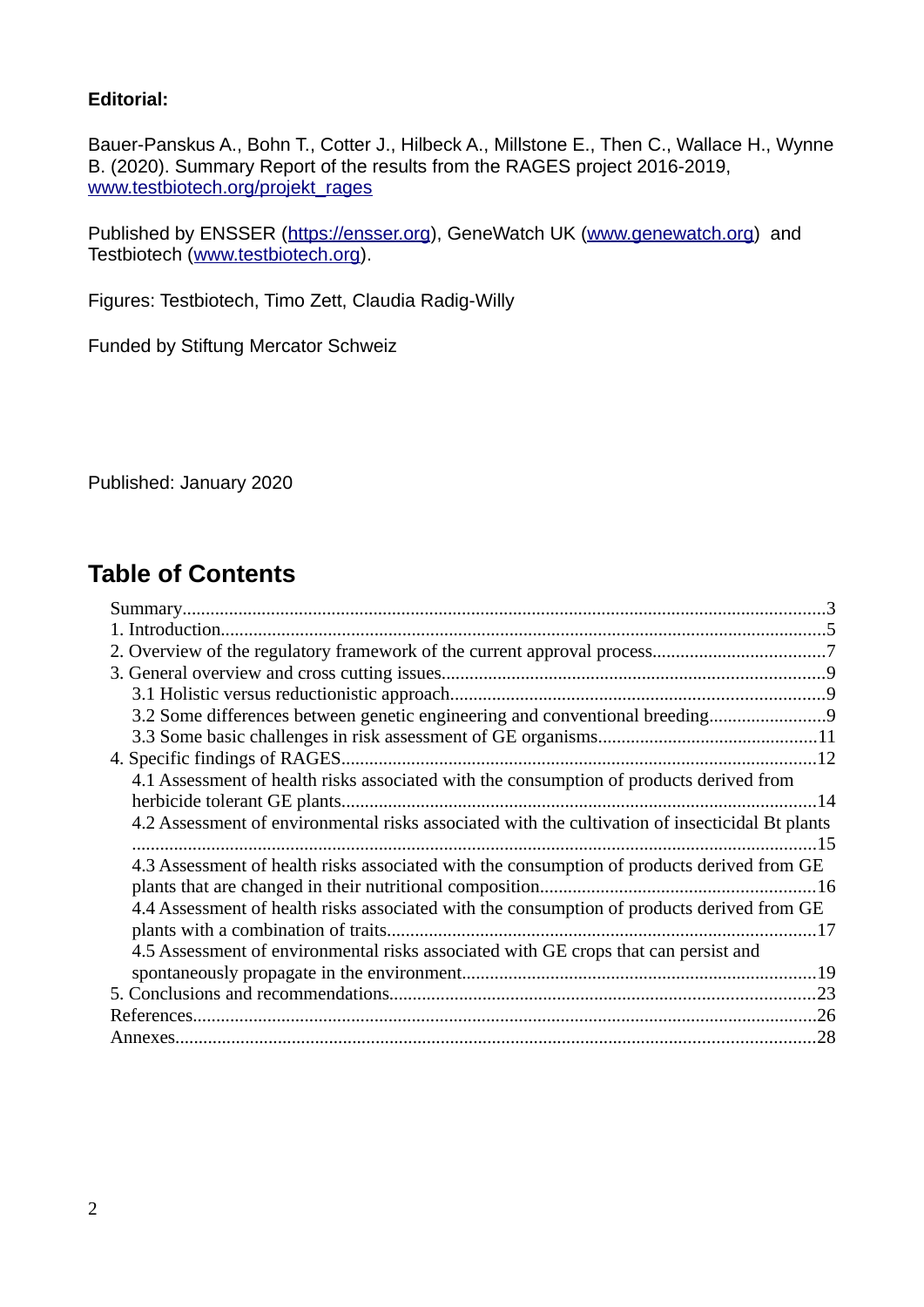### **Editorial:**

Bauer-Panskus A., Bohn T., Cotter J., Hilbeck A., Millstone E., Then C., Wallace H., Wynne B. (2020). Summary Report of the results from the RAGES project 2016-2019, [www.testbiotech.org/projekt\\_rages](http://www.testbiotech.org/projekt_rages) 

Published by ENSSER [\(https://ensser.org\)](https://ensser.org/), GeneWatch UK [\(www.genewatch.org\)](http://www.genewatch.org/) and Testbiotech [\(www.testbiotech.org\)](http://www.testbiotech.org/).

Figures: Testbiotech, Timo Zett, Claudia Radig-Willy

Funded by Stiftung Mercator Schweiz

Published: January 2020

## **Table of Contents**

| 3.2 Some differences between genetic engineering and conventional breeding9                     |  |
|-------------------------------------------------------------------------------------------------|--|
|                                                                                                 |  |
|                                                                                                 |  |
| 4.1 Assessment of health risks associated with the consumption of products derived from         |  |
|                                                                                                 |  |
| 4.2 Assessment of environmental risks associated with the cultivation of insecticidal Bt plants |  |
|                                                                                                 |  |
| 4.3 Assessment of health risks associated with the consumption of products derived from GE      |  |
|                                                                                                 |  |
| 4.4 Assessment of health risks associated with the consumption of products derived from GE      |  |
| plants with a combination of traits<br>. 17                                                     |  |
| 4.5 Assessment of environmental risks associated with GE crops that can persist and             |  |
|                                                                                                 |  |
|                                                                                                 |  |
|                                                                                                 |  |
|                                                                                                 |  |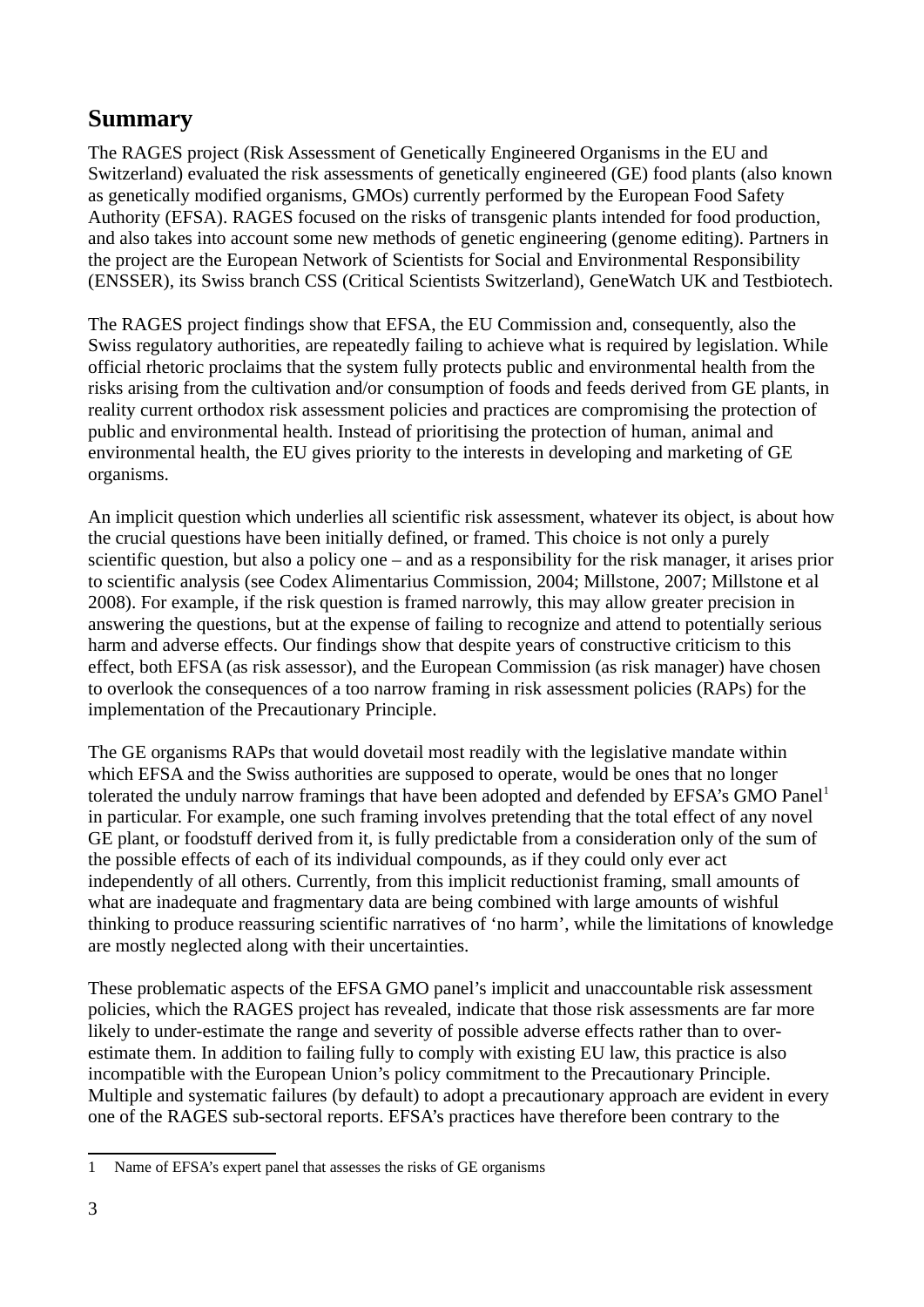## <span id="page-2-0"></span>**Summary**

The RAGES project (Risk Assessment of Genetically Engineered Organisms in the EU and Switzerland) evaluated the risk assessments of genetically engineered (GE) food plants (also known as genetically modified organisms, GMOs) currently performed by the European Food Safety Authority (EFSA). RAGES focused on the risks of transgenic plants intended for food production, and also takes into account some new methods of genetic engineering (genome editing). Partners in the project are the European Network of Scientists for Social and Environmental Responsibility (ENSSER), its Swiss branch CSS (Critical Scientists Switzerland), GeneWatch UK and Testbiotech.

The RAGES project findings show that EFSA, the EU Commission and, consequently, also the Swiss regulatory authorities, are repeatedly failing to achieve what is required by legislation. While official rhetoric proclaims that the system fully protects public and environmental health from the risks arising from the cultivation and/or consumption of foods and feeds derived from GE plants, in reality current orthodox risk assessment policies and practices are compromising the protection of public and environmental health. Instead of prioritising the protection of human, animal and environmental health, the EU gives priority to the interests in developing and marketing of GE organisms.

An implicit question which underlies all scientific risk assessment, whatever its object, is about how the crucial questions have been initially defined, or framed. This choice is not only a purely scientific question, but also a policy one – and as a responsibility for the risk manager, it arises prior to scientific analysis (see Codex Alimentarius Commission, 2004; Millstone, 2007; Millstone et al 2008). For example, if the risk question is framed narrowly, this may allow greater precision in answering the questions, but at the expense of failing to recognize and attend to potentially serious harm and adverse effects. Our findings show that despite years of constructive criticism to this effect, both EFSA (as risk assessor), and the European Commission (as risk manager) have chosen to overlook the consequences of a too narrow framing in risk assessment policies (RAPs) for the implementation of the Precautionary Principle.

The GE organisms RAPs that would dovetail most readily with the legislative mandate within which EFSA and the Swiss authorities are supposed to operate, would be ones that no longer tolerated the unduly narrow framings that have been adopted and defended by EFSA's GMO Panel<sup>[1](#page-2-1)</sup> in particular. For example, one such framing involves pretending that the total effect of any novel GE plant, or foodstuff derived from it, is fully predictable from a consideration only of the sum of the possible effects of each of its individual compounds, as if they could only ever act independently of all others. Currently, from this implicit reductionist framing, small amounts of what are inadequate and fragmentary data are being combined with large amounts of wishful thinking to produce reassuring scientific narratives of 'no harm', while the limitations of knowledge are mostly neglected along with their uncertainties.

These problematic aspects of the EFSA GMO panel's implicit and unaccountable risk assessment policies, which the RAGES project has revealed, indicate that those risk assessments are far more likely to under-estimate the range and severity of possible adverse effects rather than to overestimate them. In addition to failing fully to comply with existing EU law, this practice is also incompatible with the European Union's policy commitment to the Precautionary Principle. Multiple and systematic failures (by default) to adopt a precautionary approach are evident in every one of the RAGES sub-sectoral reports. EFSA's practices have therefore been contrary to the

<span id="page-2-1"></span><sup>1</sup> Name of EFSA's expert panel that assesses the risks of GE organisms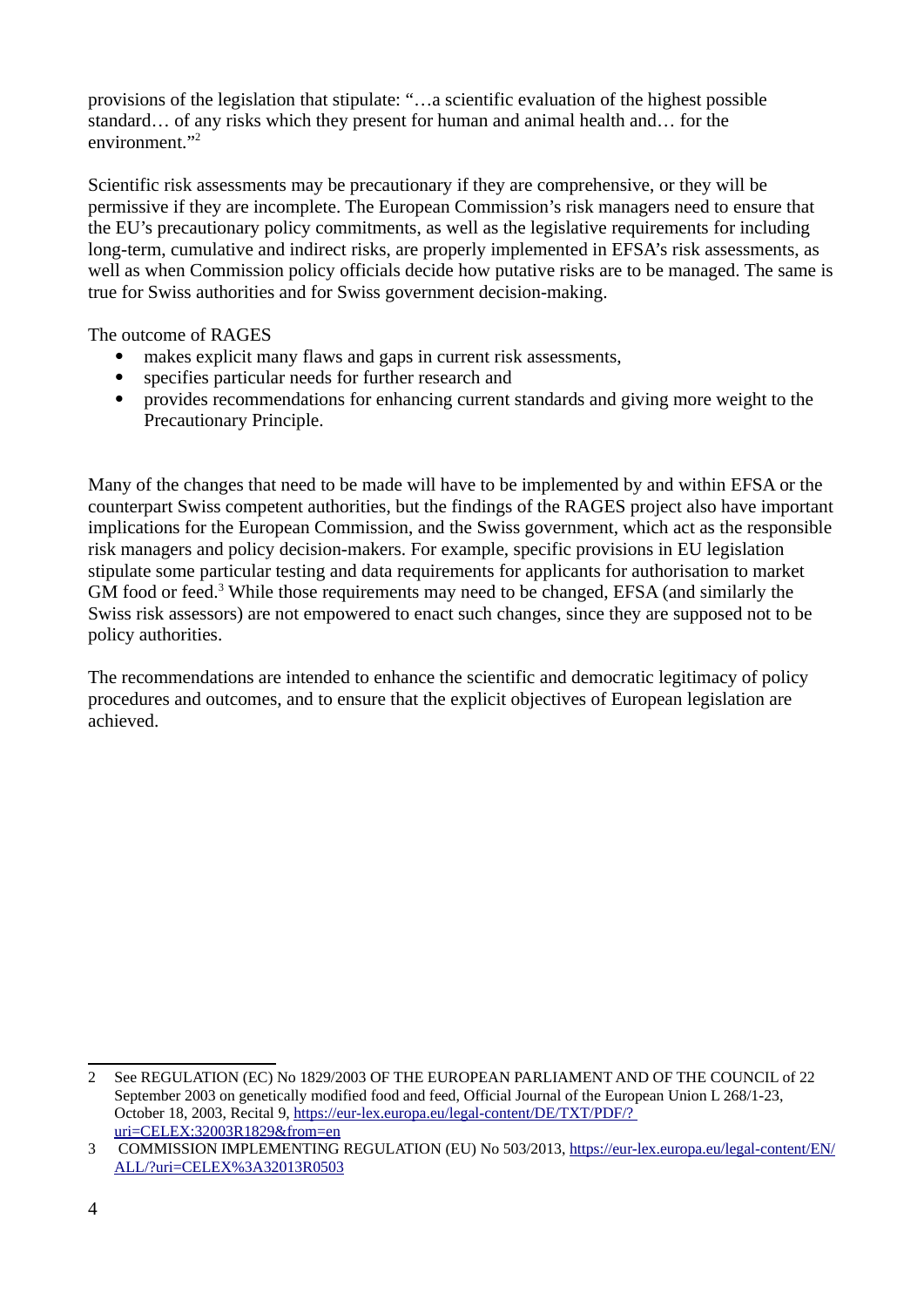provisions of the legislation that stipulate: "…a scientific evaluation of the highest possible standard… of any risks which they present for human and animal health and… for the environment."<sup>[2](#page-3-0)</sup>

Scientific risk assessments may be precautionary if they are comprehensive, or they will be permissive if they are incomplete. The European Commission's risk managers need to ensure that the EU's precautionary policy commitments, as well as the legislative requirements for including long-term, cumulative and indirect risks, are properly implemented in EFSA's risk assessments, as well as when Commission policy officials decide how putative risks are to be managed. The same is true for Swiss authorities and for Swiss government decision-making.

The outcome of RAGES

- makes explicit many flaws and gaps in current risk assessments,
- specifies particular needs for further research and
- provides recommendations for enhancing current standards and giving more weight to the Precautionary Principle.

Many of the changes that need to be made will have to be implemented by and within EFSA or the counterpart Swiss competent authorities, but the findings of the RAGES project also have important implications for the European Commission, and the Swiss government, which act as the responsible risk managers and policy decision-makers. For example, specific provisions in EU legislation stipulate some particular testing and data requirements for applicants for authorisation to market GM food or feed.<sup>[3](#page-3-1)</sup> While those requirements may need to be changed, EFSA (and similarly the Swiss risk assessors) are not empowered to enact such changes, since they are supposed not to be policy authorities.

The recommendations are intended to enhance the scientific and democratic legitimacy of policy procedures and outcomes, and to ensure that the explicit objectives of European legislation are achieved.

<span id="page-3-0"></span><sup>2</sup> See REGULATION (EC) No 1829/2003 OF THE EUROPEAN PARLIAMENT AND OF THE COUNCIL of 22 September 2003 on genetically modified food and feed, Official Journal of the European Union L 268/1-23, October 18, 2003, Recital 9, https://eur-lex.europa.eu/legal-content/DE/TXT/PDF/? [uri=CELEX:32003R1829&from=en](https://eur-lex.europa.eu/legal-content/DE/TXT/PDF/?uri=CELEX:32003R1829&from=en)

<span id="page-3-1"></span><sup>3</sup> COMMISSION IMPLEMENTING REGULATION (EU) No 503/2013, [https://eur-lex.europa.eu/legal-content/EN/](https://eur-lex.europa.eu/legal-content/EN/ALL/?uri=CELEX%3A32013R0503) [ALL/?uri=CELEX%3A32013R0503](https://eur-lex.europa.eu/legal-content/EN/ALL/?uri=CELEX%3A32013R0503)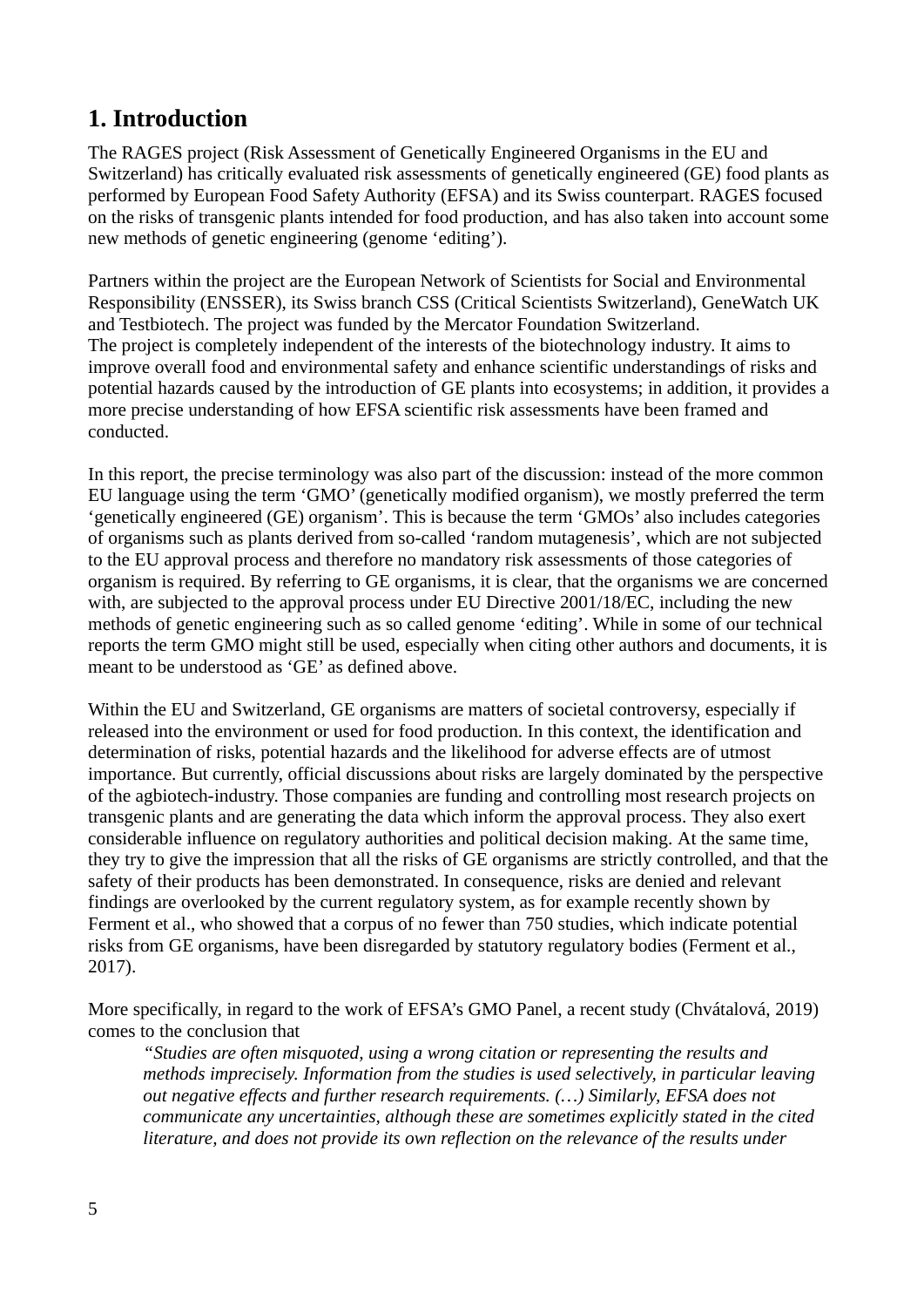# <span id="page-4-0"></span>**1. Introduction**

The RAGES project (Risk Assessment of Genetically Engineered Organisms in the EU and Switzerland) has critically evaluated risk assessments of genetically engineered (GE) food plants as performed by European Food Safety Authority (EFSA) and its Swiss counterpart. RAGES focused on the risks of transgenic plants intended for food production, and has also taken into account some new methods of genetic engineering (genome 'editing').

Partners within the project are the European Network of Scientists for Social and Environmental Responsibility (ENSSER), its Swiss branch CSS (Critical Scientists Switzerland), GeneWatch UK and Testbiotech. The project was funded by the Mercator Foundation Switzerland. The project is completely independent of the interests of the biotechnology industry. It aims to improve overall food and environmental safety and enhance scientific understandings of risks and potential hazards caused by the introduction of GE plants into ecosystems; in addition, it provides a more precise understanding of how EFSA scientific risk assessments have been framed and conducted.

In this report, the precise terminology was also part of the discussion: instead of the more common EU language using the term 'GMO' (genetically modified organism), we mostly preferred the term 'genetically engineered (GE) organism'. This is because the term 'GMOs' also includes categories of organisms such as plants derived from so-called 'random mutagenesis', which are not subjected to the EU approval process and therefore no mandatory risk assessments of those categories of organism is required. By referring to GE organisms, it is clear, that the organisms we are concerned with, are subjected to the approval process under EU Directive 2001/18/EC, including the new methods of genetic engineering such as so called genome 'editing'. While in some of our technical reports the term GMO might still be used, especially when citing other authors and documents, it is meant to be understood as 'GE' as defined above.

Within the EU and Switzerland, GE organisms are matters of societal controversy, especially if released into the environment or used for food production. In this context, the identification and determination of risks, potential hazards and the likelihood for adverse effects are of utmost importance. But currently, official discussions about risks are largely dominated by the perspective of the agbiotech-industry. Those companies are funding and controlling most research projects on transgenic plants and are generating the data which inform the approval process. They also exert considerable influence on regulatory authorities and political decision making. At the same time, they try to give the impression that all the risks of GE organisms are strictly controlled, and that the safety of their products has been demonstrated. In consequence, risks are denied and relevant findings are overlooked by the current regulatory system, as for example recently shown by Ferment et al., who showed that a corpus of no fewer than 750 studies, which indicate potential risks from GE organisms, have been disregarded by statutory regulatory bodies (Ferment et al., 2017).

More specifically, in regard to the work of EFSA's GMO Panel, a recent study (Chvátalová, 2019) comes to the conclusion that

*"Studies are often misquoted, using a wrong citation or representing the results and methods imprecisely. Information from the studies is used selectively, in particular leaving out negative effects and further research requirements. (…) Similarly, EFSA does not communicate any uncertainties, although these are sometimes explicitly stated in the cited literature, and does not provide its own reflection on the relevance of the results under*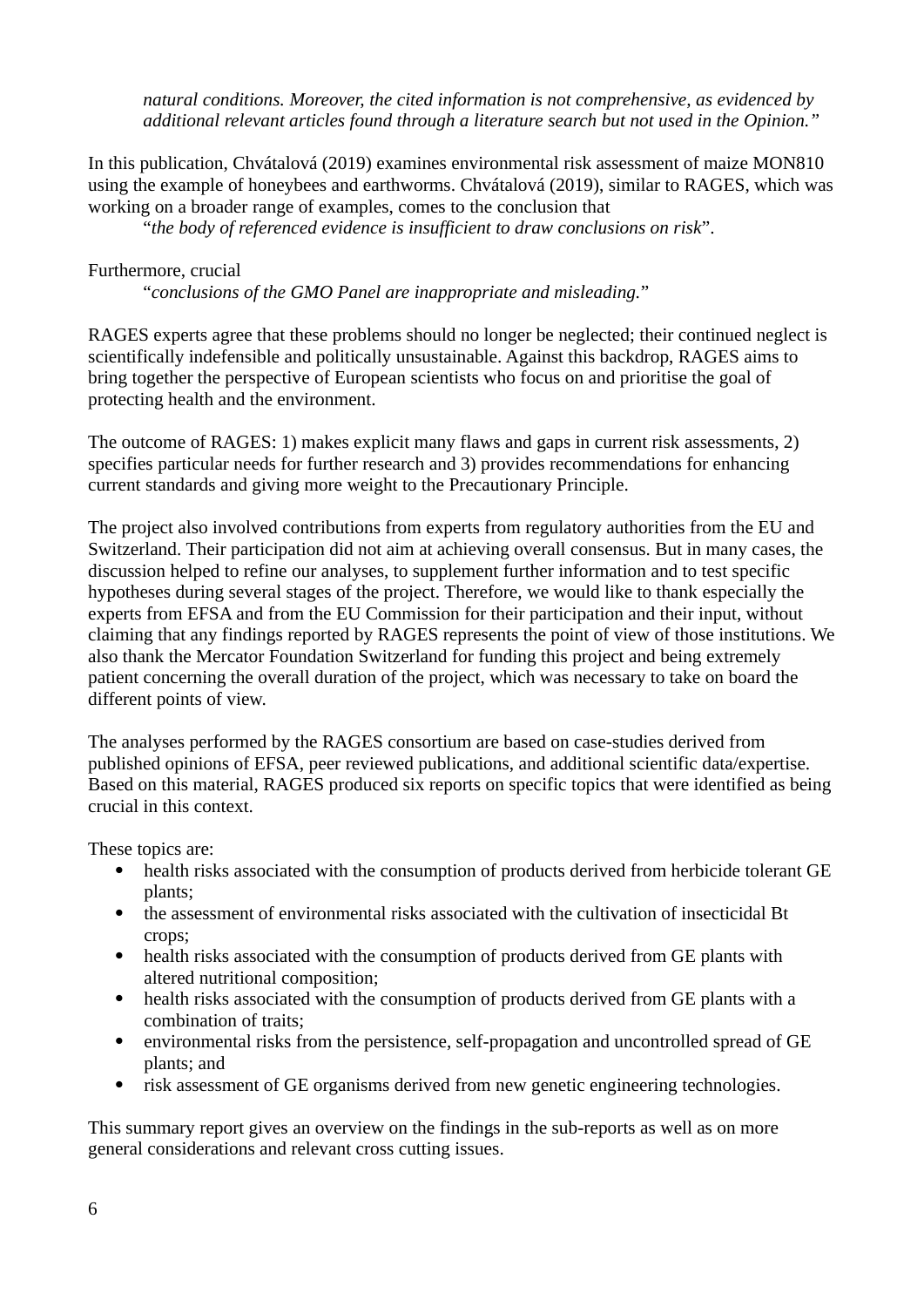*natural conditions. Moreover, the cited information is not comprehensive, as evidenced by additional relevant articles found through a literature search but not used in the Opinion."* 

In this publication, Chvátalová (2019) examines environmental risk assessment of maize MON810 using the example of honeybees and earthworms. Chvátalová (2019), similar to RAGES, which was working on a broader range of examples, comes to the conclusion that

"*the body of referenced evidence is insufficient to draw conclusions on risk*".

#### Furthermore, crucial

"*conclusions of the GMO Panel are inappropriate and misleading.*"

RAGES experts agree that these problems should no longer be neglected; their continued neglect is scientifically indefensible and politically unsustainable. Against this backdrop, RAGES aims to bring together the perspective of European scientists who focus on and prioritise the goal of protecting health and the environment.

The outcome of RAGES: 1) makes explicit many flaws and gaps in current risk assessments, 2) specifies particular needs for further research and 3) provides recommendations for enhancing current standards and giving more weight to the Precautionary Principle.

The project also involved contributions from experts from regulatory authorities from the EU and Switzerland. Their participation did not aim at achieving overall consensus. But in many cases, the discussion helped to refine our analyses, to supplement further information and to test specific hypotheses during several stages of the project. Therefore, we would like to thank especially the experts from EFSA and from the EU Commission for their participation and their input, without claiming that any findings reported by RAGES represents the point of view of those institutions. We also thank the Mercator Foundation Switzerland for funding this project and being extremely patient concerning the overall duration of the project, which was necessary to take on board the different points of view.

The analyses performed by the RAGES consortium are based on case-studies derived from published opinions of EFSA, peer reviewed publications, and additional scientific data/expertise. Based on this material, RAGES produced six reports on specific topics that were identified as being crucial in this context.

These topics are:

- health risks associated with the consumption of products derived from herbicide tolerant GE plants;
- the assessment of environmental risks associated with the cultivation of insecticidal Bt crops;
- health risks associated with the consumption of products derived from GE plants with altered nutritional composition;
- health risks associated with the consumption of products derived from GE plants with a combination of traits;
- environmental risks from the persistence, self-propagation and uncontrolled spread of GE plants; and
- risk assessment of GE organisms derived from new genetic engineering technologies.

This summary report gives an overview on the findings in the sub-reports as well as on more general considerations and relevant cross cutting issues.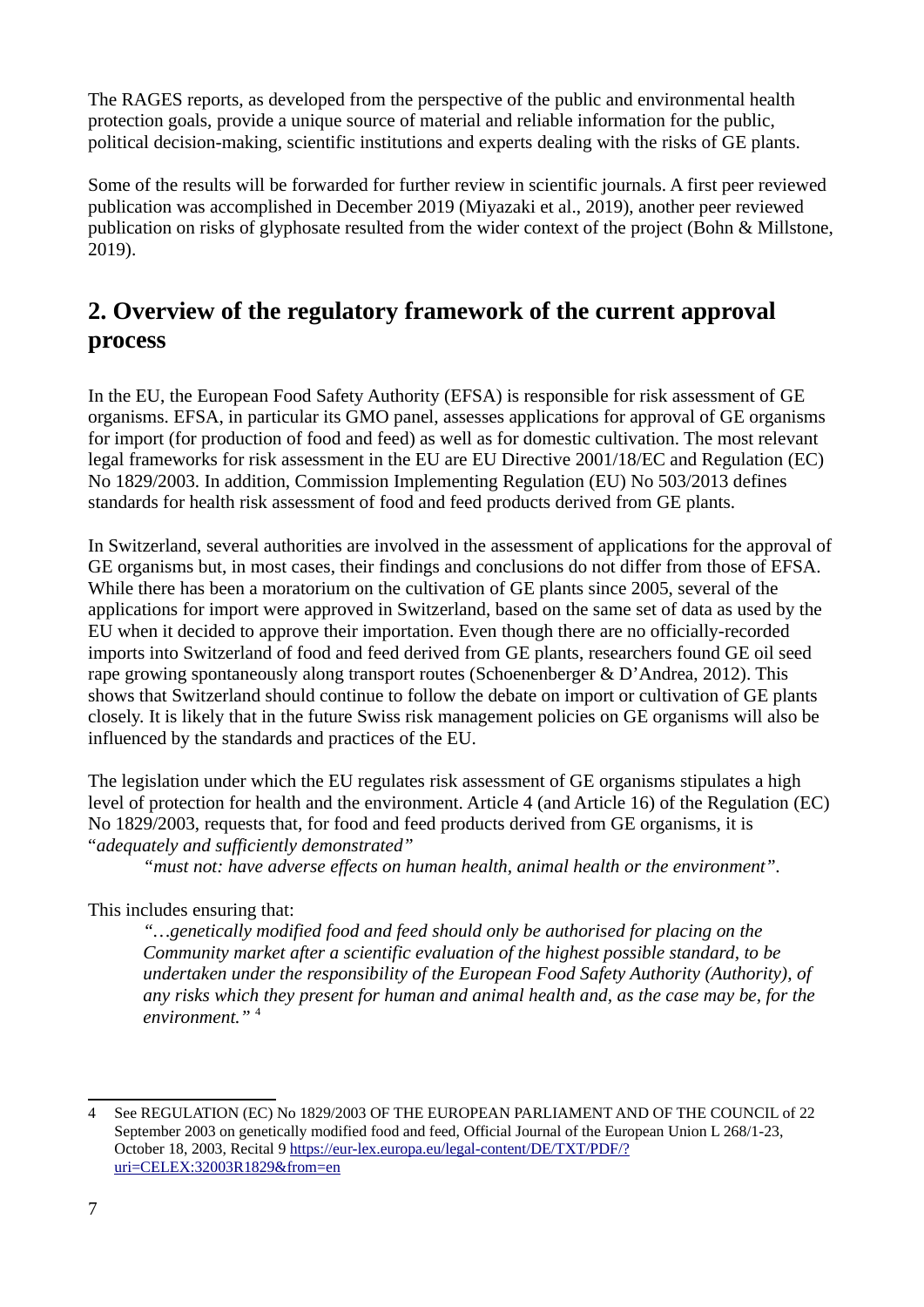The RAGES reports, as developed from the perspective of the public and environmental health protection goals, provide a unique source of material and reliable information for the public, political decision-making, scientific institutions and experts dealing with the risks of GE plants.

Some of the results will be forwarded for further review in scientific journals. A first peer reviewed publication was accomplished in December 2019 (Miyazaki et al., 2019), another peer reviewed publication on risks of glyphosate resulted from the wider context of the project (Bohn & Millstone, 2019).

## <span id="page-6-0"></span>**2. Overview of the regulatory framework of the current approval process**

In the EU, the European Food Safety Authority (EFSA) is responsible for risk assessment of GE organisms. EFSA, in particular its GMO panel, assesses applications for approval of GE organisms for import (for production of food and feed) as well as for domestic cultivation. The most relevant legal frameworks for risk assessment in the EU are EU Directive 2001/18/EC and Regulation (EC) No 1829/2003. In addition, Commission Implementing Regulation (EU) No 503/2013 defines standards for health risk assessment of food and feed products derived from GE plants.

In Switzerland, several authorities are involved in the assessment of applications for the approval of GE organisms but, in most cases, their findings and conclusions do not differ from those of EFSA. While there has been a moratorium on the cultivation of GE plants since 2005, several of the applications for import were approved in Switzerland, based on the same set of data as used by the EU when it decided to approve their importation. Even though there are no officially-recorded imports into Switzerland of food and feed derived from GE plants, researchers found GE oil seed rape growing spontaneously along transport routes (Schoenenberger & D'Andrea, 2012). This shows that Switzerland should continue to follow the debate on import or cultivation of GE plants closely. It is likely that in the future Swiss risk management policies on GE organisms will also be influenced by the standards and practices of the EU.

The legislation under which the EU regulates risk assessment of GE organisms stipulates a high level of protection for health and the environment. Article 4 (and Article 16) of the Regulation (EC) No 1829/2003, requests that, for food and feed products derived from GE organisms, it is "*adequately and sufficiently demonstrated"*

*"must not: have adverse effects on human health, animal health or the environment".* 

## This includes ensuring that:

*"…genetically modified food and feed should only be authorised for placing on the Community market after a scientific evaluation of the highest possible standard, to be undertaken under the responsibility of the European Food Safety Authority (Authority), of any risks which they present for human and animal health and, as the case may be, for the environment."* [4](#page-6-1)

<span id="page-6-1"></span><sup>4</sup> See REGULATION (EC) No 1829/2003 OF THE EUROPEAN PARLIAMENT AND OF THE COUNCIL of 22 September 2003 on genetically modified food and feed, Official Journal of the European Union L 268/1-23, October 18, 2003, Recital 9 [https://eur-lex.europa.eu/legal-content/DE/TXT/PDF/?](https://eur-lex.europa.eu/legal-content/DE/TXT/PDF/?uri=CELEX:32003R1829&from=en) [uri=CELEX:32003R1829&from=en](https://eur-lex.europa.eu/legal-content/DE/TXT/PDF/?uri=CELEX:32003R1829&from=en)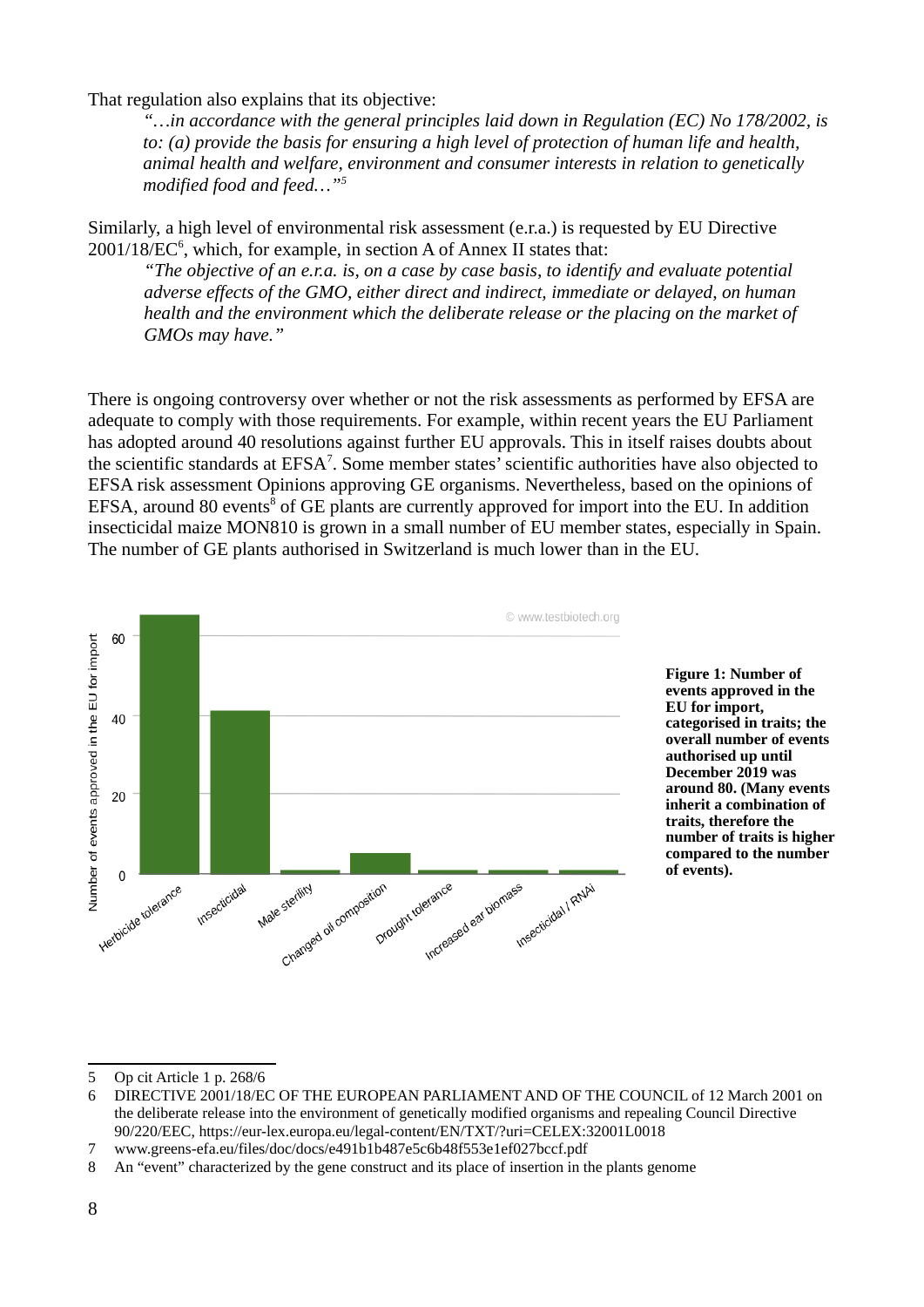That regulation also explains that its objective:

*"…in accordance with the general principles laid down in Regulation (EC) No 178/2002, is to: (a) provide the basis for ensuring a high level of protection of human life and health, animal health and welfare, environment and consumer interests in relation to genetically modified food and feed…"[5](#page-7-0)* 

Similarly, a high level of environmental risk assessment (e.r.a.) is requested by EU Directive  $2001/18$ / $EC<sup>6</sup>$  $EC<sup>6</sup>$  $EC<sup>6</sup>$ , which, for example, in section A of Annex II states that:

*"The objective of an e.r.a. is, on a case by case basis, to identify and evaluate potential adverse effects of the GMO, either direct and indirect, immediate or delayed, on human health and the environment which the deliberate release or the placing on the market of GMOs may have."* 

There is ongoing controversy over whether or not the risk assessments as performed by EFSA are adequate to comply with those requirements. For example, within recent years the EU Parliament has adopted around 40 resolutions against further EU approvals. This in itself raises doubts about the scientific standards at  $EFSA<sup>7</sup>$  $EFSA<sup>7</sup>$  $EFSA<sup>7</sup>$ . Some member states' scientific authorities have also objected to EFSA risk assessment Opinions approving GE organisms. Nevertheless, based on the opinions of EFSA, around [8](#page-7-3)0 events<sup>8</sup> of GE plants are currently approved for import into the EU. In addition insecticidal maize MON810 is grown in a small number of EU member states, especially in Spain. The number of GE plants authorised in Switzerland is much lower than in the EU.



<sup>5</sup> Op cit Article 1 p. 268/6

<span id="page-7-1"></span><span id="page-7-0"></span><sup>6</sup> DIRECTIVE 2001/18/EC OF THE EUROPEAN PARLIAMENT AND OF THE COUNCIL of 12 March 2001 on the deliberate release into the environment of genetically modified organisms and repealing Council Directive 90/220/EEC, https://eur-lex.europa.eu/legal-content/EN/TXT/?uri=CELEX:32001L0018

<span id="page-7-2"></span><sup>7</sup> www.greens-efa.eu/files/doc/docs/e491b1b487e5c6b48f553e1ef027bccf.pdf

<span id="page-7-3"></span><sup>8</sup> An "event" characterized by the gene construct and its place of insertion in the plants genome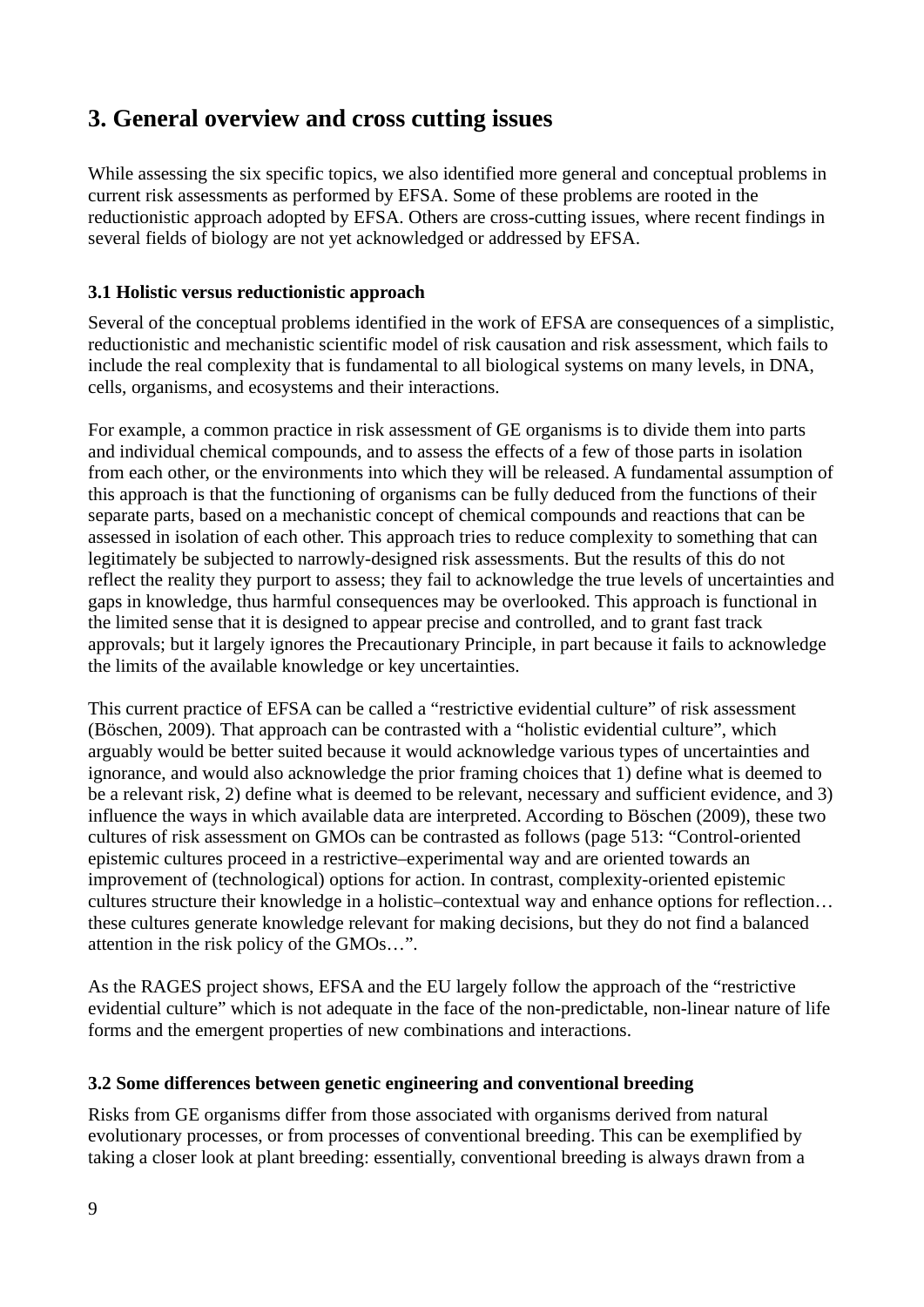## <span id="page-8-2"></span>**3. General overview and cross cutting issues**

While assessing the six specific topics, we also identified more general and conceptual problems in current risk assessments as performed by EFSA. Some of these problems are rooted in the reductionistic approach adopted by EFSA. Others are cross-cutting issues, where recent findings in several fields of biology are not yet acknowledged or addressed by EFSA.

## <span id="page-8-1"></span>**3.1 Holistic versus reductionistic approach**

Several of the conceptual problems identified in the work of EFSA are consequences of a simplistic, reductionistic and mechanistic scientific model of risk causation and risk assessment, which fails to include the real complexity that is fundamental to all biological systems on many levels, in DNA, cells, organisms, and ecosystems and their interactions.

For example, a common practice in risk assessment of GE organisms is to divide them into parts and individual chemical compounds, and to assess the effects of a few of those parts in isolation from each other, or the environments into which they will be released. A fundamental assumption of this approach is that the functioning of organisms can be fully deduced from the functions of their separate parts, based on a mechanistic concept of chemical compounds and reactions that can be assessed in isolation of each other. This approach tries to reduce complexity to something that can legitimately be subjected to narrowly-designed risk assessments. But the results of this do not reflect the reality they purport to assess; they fail to acknowledge the true levels of uncertainties and gaps in knowledge, thus harmful consequences may be overlooked. This approach is functional in the limited sense that it is designed to appear precise and controlled, and to grant fast track approvals; but it largely ignores the Precautionary Principle, in part because it fails to acknowledge the limits of the available knowledge or key uncertainties.

This current practice of EFSA can be called a "restrictive evidential culture" of risk assessment (Böschen, 2009). That approach can be contrasted with a "holistic evidential culture", which arguably would be better suited because it would acknowledge various types of uncertainties and ignorance, and would also acknowledge the prior framing choices that 1) define what is deemed to be a relevant risk, 2) define what is deemed to be relevant, necessary and sufficient evidence, and 3) influence the ways in which available data are interpreted. According to Böschen (2009), these two cultures of risk assessment on GMOs can be contrasted as follows (page 513: "Control-oriented epistemic cultures proceed in a restrictive–experimental way and are oriented towards an improvement of (technological) options for action. In contrast, complexity-oriented epistemic cultures structure their knowledge in a holistic–contextual way and enhance options for reflection… these cultures generate knowledge relevant for making decisions, but they do not find a balanced attention in the risk policy of the GMOs…".

As the RAGES project shows, EFSA and the EU largely follow the approach of the "restrictive evidential culture" which is not adequate in the face of the non-predictable, non-linear nature of life forms and the emergent properties of new combinations and interactions.

### <span id="page-8-0"></span>**3.2 Some differences between genetic engineering and conventional breeding**

Risks from GE organisms differ from those associated with organisms derived from natural evolutionary processes, or from processes of conventional breeding. This can be exemplified by taking a closer look at plant breeding: essentially, conventional breeding is always drawn from a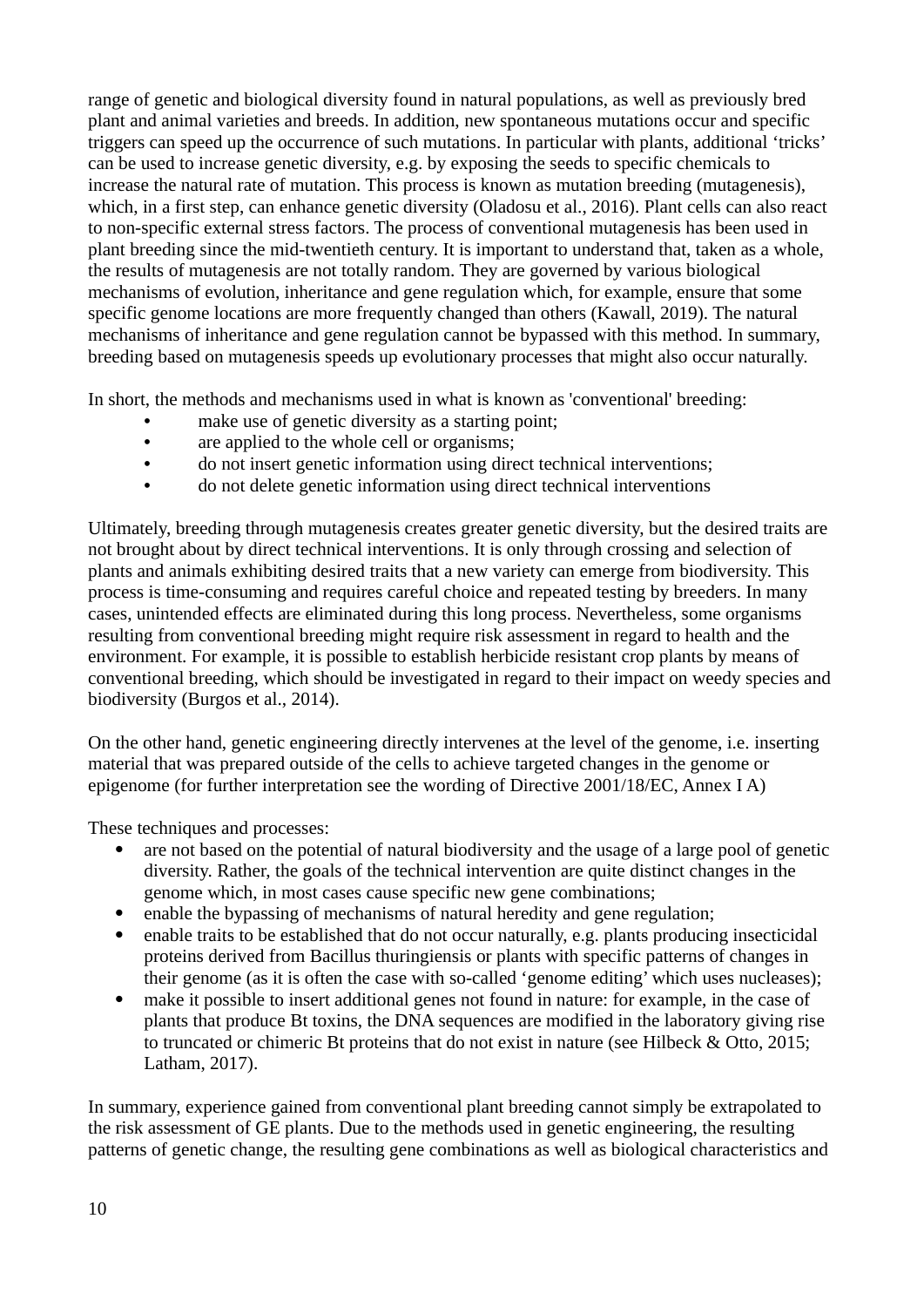range of genetic and biological diversity found in natural populations, as well as previously bred plant and animal varieties and breeds. In addition, new spontaneous mutations occur and specific triggers can speed up the occurrence of such mutations. In particular with plants, additional 'tricks' can be used to increase genetic diversity, e.g. by exposing the seeds to specific chemicals to increase the natural rate of mutation. This process is known as mutation breeding (mutagenesis), which, in a first step, can enhance genetic diversity (Oladosu et al., 2016). Plant cells can also react to non-specific external stress factors. The process of conventional mutagenesis has been used in plant breeding since the mid-twentieth century. It is important to understand that, taken as a whole, the results of mutagenesis are not totally random. They are governed by various biological mechanisms of evolution, inheritance and gene regulation which, for example, ensure that some specific genome locations are more frequently changed than others (Kawall, 2019). The natural mechanisms of inheritance and gene regulation cannot be bypassed with this method. In summary, breeding based on mutagenesis speeds up evolutionary processes that might also occur naturally.

In short, the methods and mechanisms used in what is known as 'conventional' breeding:

- make use of genetic diversity as a starting point;
- are applied to the whole cell or organisms;
- do not insert genetic information using direct technical interventions;
- do not delete genetic information using direct technical interventions

Ultimately, breeding through mutagenesis creates greater genetic diversity, but the desired traits are not brought about by direct technical interventions. It is only through crossing and selection of plants and animals exhibiting desired traits that a new variety can emerge from biodiversity. This process is time-consuming and requires careful choice and repeated testing by breeders. In many cases, unintended effects are eliminated during this long process. Nevertheless, some organisms resulting from conventional breeding might require risk assessment in regard to health and the environment. For example, it is possible to establish herbicide resistant crop plants by means of conventional breeding, which should be investigated in regard to their impact on weedy species and biodiversity (Burgos et al., 2014).

On the other hand, genetic engineering directly intervenes at the level of the genome, i.e. inserting material that was prepared outside of the cells to achieve targeted changes in the genome or epigenome (for further interpretation see the wording of Directive 2001/18/EC, Annex I A)

These techniques and processes:

- are not based on the potential of natural biodiversity and the usage of a large pool of genetic diversity. Rather, the goals of the technical intervention are quite distinct changes in the genome which, in most cases cause specific new gene combinations;
- enable the bypassing of mechanisms of natural heredity and gene regulation;
- enable traits to be established that do not occur naturally, e.g. plants producing insecticidal proteins derived from Bacillus thuringiensis or plants with specific patterns of changes in their genome (as it is often the case with so-called 'genome editing' which uses nucleases);
- make it possible to insert additional genes not found in nature: for example, in the case of plants that produce Bt toxins, the DNA sequences are modified in the laboratory giving rise to truncated or chimeric Bt proteins that do not exist in nature (see Hilbeck & Otto, 2015; Latham, 2017).

In summary, experience gained from conventional plant breeding cannot simply be extrapolated to the risk assessment of GE plants. Due to the methods used in genetic engineering, the resulting patterns of genetic change, the resulting gene combinations as well as biological characteristics and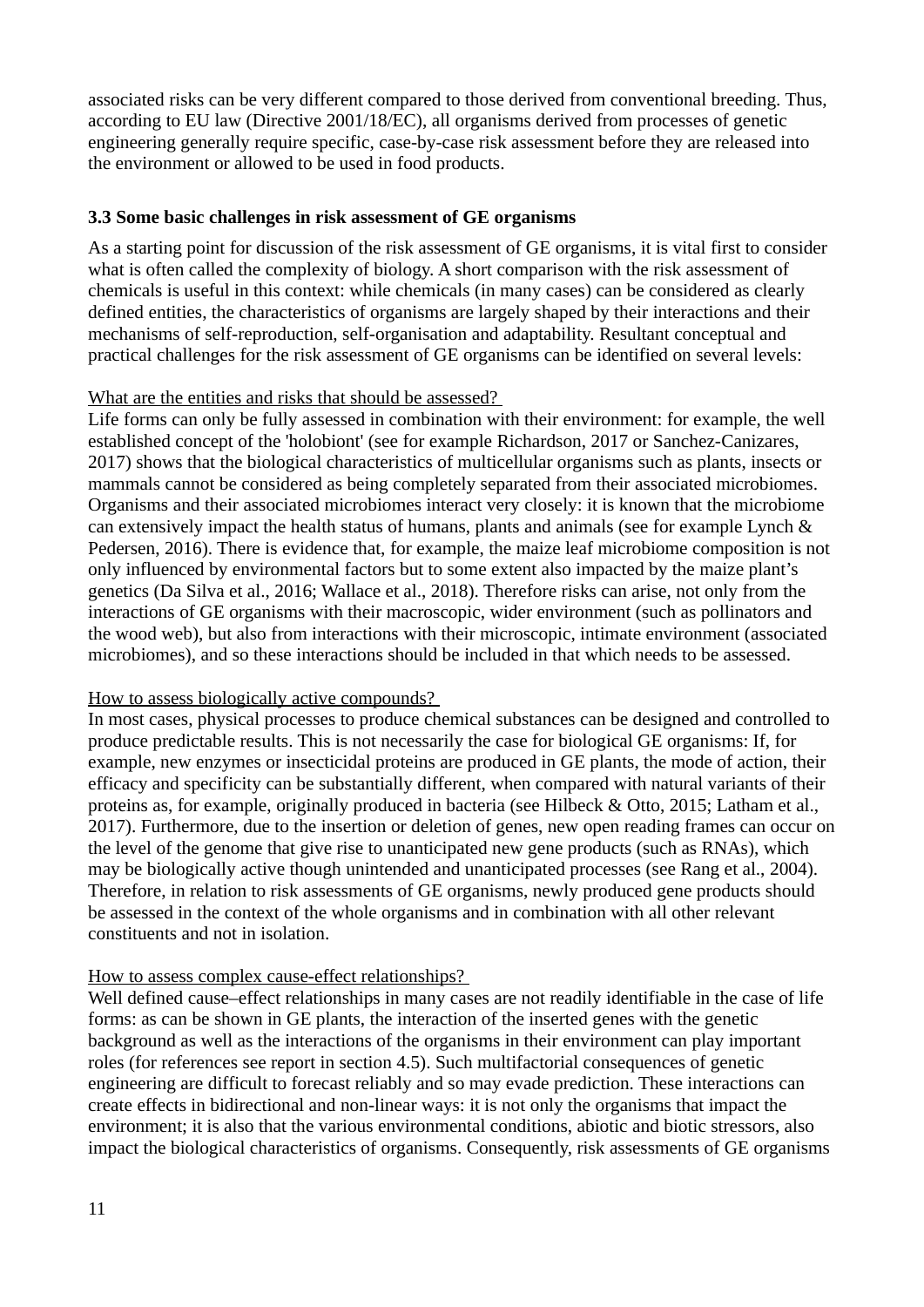associated risks can be very different compared to those derived from conventional breeding. Thus, according to EU law (Directive 2001/18/EC), all organisms derived from processes of genetic engineering generally require specific, case-by-case risk assessment before they are released into the environment or allowed to be used in food products.

#### <span id="page-10-0"></span>**3.3 Some basic challenges in risk assessment of GE organisms**

As a starting point for discussion of the risk assessment of GE organisms, it is vital first to consider what is often called the complexity of biology. A short comparison with the risk assessment of chemicals is useful in this context: while chemicals (in many cases) can be considered as clearly defined entities, the characteristics of organisms are largely shaped by their interactions and their mechanisms of self-reproduction, self-organisation and adaptability. Resultant conceptual and practical challenges for the risk assessment of GE organisms can be identified on several levels:

#### What are the entities and risks that should be assessed?

Life forms can only be fully assessed in combination with their environment: for example, the well established concept of the 'holobiont' (see for example Richardson, 2017 or Sanchez-Canizares, 2017) shows that the biological characteristics of multicellular organisms such as plants, insects or mammals cannot be considered as being completely separated from their associated microbiomes. Organisms and their associated microbiomes interact very closely: it is known that the microbiome can extensively impact the health status of humans, plants and animals (see for example Lynch & Pedersen, 2016). There is evidence that, for example, the maize leaf microbiome composition is not only influenced by environmental factors but to some extent also impacted by the maize plant's genetics (Da Silva et al., 2016; Wallace et al., 2018). Therefore risks can arise, not only from the interactions of GE organisms with their macroscopic, wider environment (such as pollinators and the wood web), but also from interactions with their microscopic, intimate environment (associated microbiomes), and so these interactions should be included in that which needs to be assessed.

### How to assess biologically active compounds?

In most cases, physical processes to produce chemical substances can be designed and controlled to produce predictable results. This is not necessarily the case for biological GE organisms: If, for example, new enzymes or insecticidal proteins are produced in GE plants, the mode of action, their efficacy and specificity can be substantially different, when compared with natural variants of their proteins as, for example, originally produced in bacteria (see Hilbeck & Otto, 2015; Latham et al., 2017). Furthermore, due to the insertion or deletion of genes, new open reading frames can occur on the level of the genome that give rise to unanticipated new gene products (such as RNAs), which may be biologically active though unintended and unanticipated processes (see Rang et al., 2004). Therefore, in relation to risk assessments of GE organisms, newly produced gene products should be assessed in the context of the whole organisms and in combination with all other relevant constituents and not in isolation.

### How to assess complex cause-effect relationships?

Well defined cause–effect relationships in many cases are not readily identifiable in the case of life forms: as can be shown in GE plants, the interaction of the inserted genes with the genetic background as well as the interactions of the organisms in their environment can play important roles (for references see report in section 4.5). Such multifactorial consequences of genetic engineering are difficult to forecast reliably and so may evade prediction. These interactions can create effects in bidirectional and non-linear ways: it is not only the organisms that impact the environment; it is also that the various environmental conditions, abiotic and biotic stressors, also impact the biological characteristics of organisms. Consequently, risk assessments of GE organisms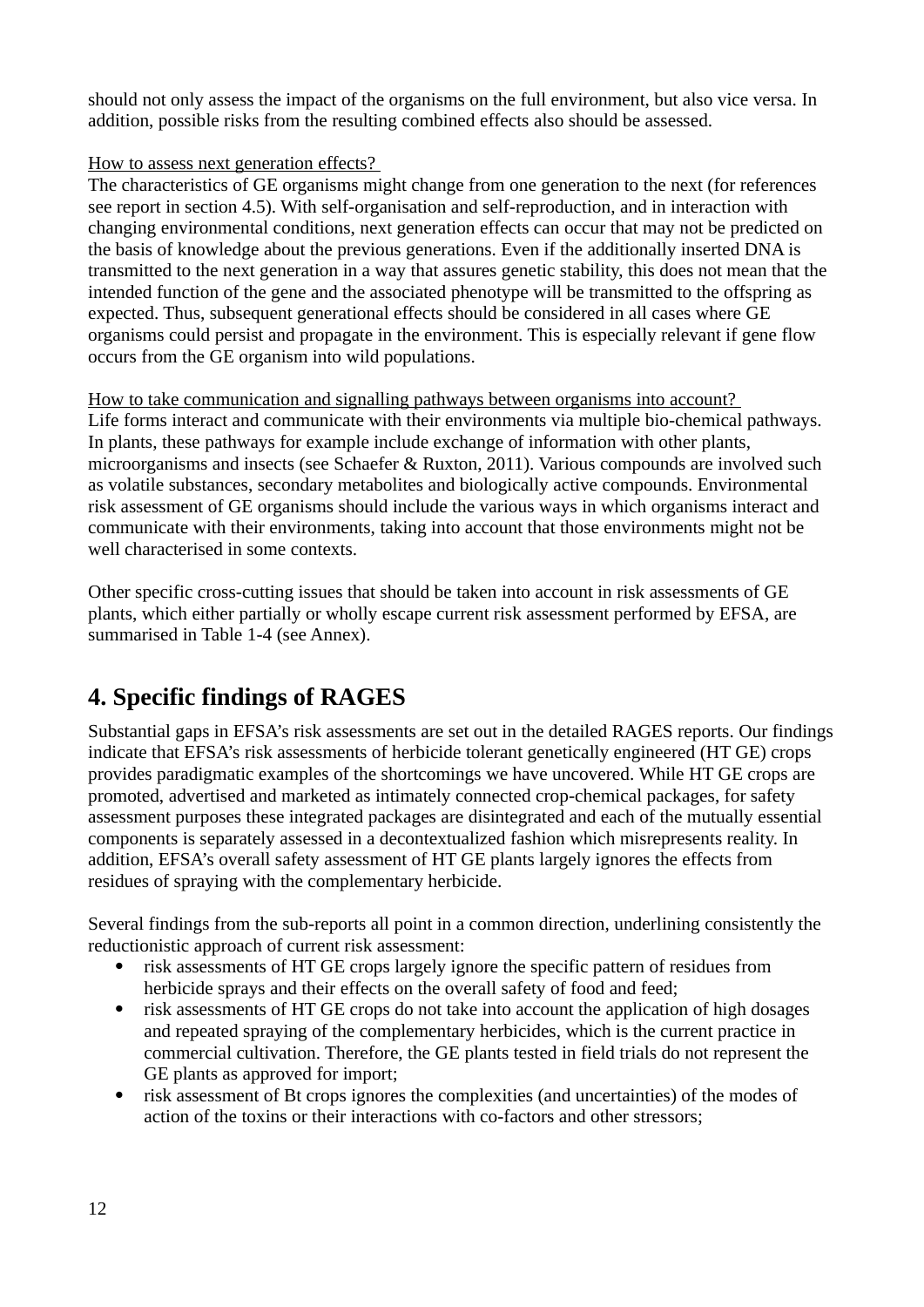should not only assess the impact of the organisms on the full environment, but also vice versa. In addition, possible risks from the resulting combined effects also should be assessed.

## How to assess next generation effects?

The characteristics of GE organisms might change from one generation to the next (for references see report in section 4.5). With self-organisation and self-reproduction, and in interaction with changing environmental conditions, next generation effects can occur that may not be predicted on the basis of knowledge about the previous generations. Even if the additionally inserted DNA is transmitted to the next generation in a way that assures genetic stability, this does not mean that the intended function of the gene and the associated phenotype will be transmitted to the offspring as expected. Thus, subsequent generational effects should be considered in all cases where GE organisms could persist and propagate in the environment. This is especially relevant if gene flow occurs from the GE organism into wild populations.

How to take communication and signalling pathways between organisms into account? Life forms interact and communicate with their environments via multiple bio-chemical pathways. In plants, these pathways for example include exchange of information with other plants, microorganisms and insects (see Schaefer & Ruxton, 2011). Various compounds are involved such as volatile substances, secondary metabolites and biologically active compounds. Environmental risk assessment of GE organisms should include the various ways in which organisms interact and communicate with their environments, taking into account that those environments might not be well characterised in some contexts.

Other specific cross-cutting issues that should be taken into account in risk assessments of GE plants, which either partially or wholly escape current risk assessment performed by EFSA, are summarised in Table 1-4 (see Annex).

# <span id="page-11-0"></span>**4. Specific findings of RAGES**

Substantial gaps in EFSA's risk assessments are set out in the detailed RAGES reports. Our findings indicate that EFSA's risk assessments of herbicide tolerant genetically engineered (HT GE) crops provides paradigmatic examples of the shortcomings we have uncovered. While HT GE crops are promoted, advertised and marketed as intimately connected crop-chemical packages, for safety assessment purposes these integrated packages are disintegrated and each of the mutually essential components is separately assessed in a decontextualized fashion which misrepresents reality. In addition, EFSA's overall safety assessment of HT GE plants largely ignores the effects from residues of spraying with the complementary herbicide.

Several findings from the sub-reports all point in a common direction, underlining consistently the reductionistic approach of current risk assessment:

- risk assessments of HT GE crops largely ignore the specific pattern of residues from herbicide sprays and their effects on the overall safety of food and feed;
- risk assessments of HT GE crops do not take into account the application of high dosages and repeated spraying of the complementary herbicides, which is the current practice in commercial cultivation. Therefore, the GE plants tested in field trials do not represent the GE plants as approved for import;
- risk assessment of Bt crops ignores the complexities (and uncertainties) of the modes of action of the toxins or their interactions with co-factors and other stressors;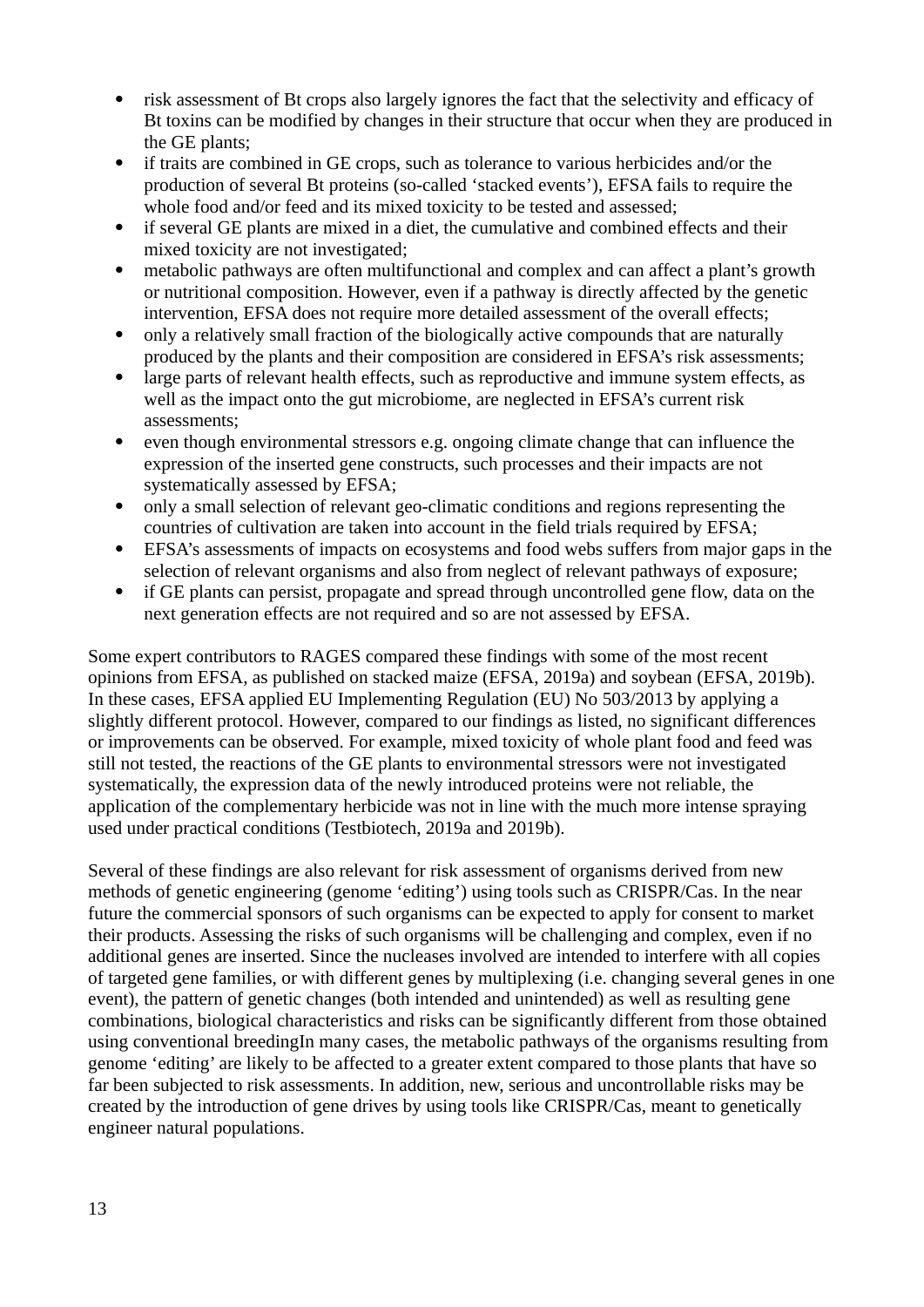- risk assessment of Bt crops also largely ignores the fact that the selectivity and efficacy of Bt toxins can be modified by changes in their structure that occur when they are produced in the GE plants;
- if traits are combined in GE crops, such as tolerance to various herbicides and/or the production of several Bt proteins (so-called 'stacked events'), EFSA fails to require the whole food and/or feed and its mixed toxicity to be tested and assessed;
- if several GE plants are mixed in a diet, the cumulative and combined effects and their mixed toxicity are not investigated;
- metabolic pathways are often multifunctional and complex and can affect a plant's growth or nutritional composition. However, even if a pathway is directly affected by the genetic intervention, EFSA does not require more detailed assessment of the overall effects;
- only a relatively small fraction of the biologically active compounds that are naturally produced by the plants and their composition are considered in EFSA's risk assessments;
- large parts of relevant health effects, such as reproductive and immune system effects, as well as the impact onto the gut microbiome, are neglected in EFSA's current risk assessments;
- even though environmental stressors e.g. ongoing climate change that can influence the expression of the inserted gene constructs, such processes and their impacts are not systematically assessed by EFSA;
- only a small selection of relevant geo-climatic conditions and regions representing the countries of cultivation are taken into account in the field trials required by EFSA;
- EFSA's assessments of impacts on ecosystems and food webs suffers from major gaps in the selection of relevant organisms and also from neglect of relevant pathways of exposure;
- if GE plants can persist, propagate and spread through uncontrolled gene flow, data on the next generation effects are not required and so are not assessed by EFSA.

Some expert contributors to RAGES compared these findings with some of the most recent opinions from EFSA, as published on stacked maize (EFSA, 2019a) and soybean (EFSA, 2019b). In these cases, EFSA applied EU Implementing Regulation (EU) No 503/2013 by applying a slightly different protocol. However, compared to our findings as listed, no significant differences or improvements can be observed. For example, mixed toxicity of whole plant food and feed was still not tested, the reactions of the GE plants to environmental stressors were not investigated systematically, the expression data of the newly introduced proteins were not reliable, the application of the complementary herbicide was not in line with the much more intense spraying used under practical conditions (Testbiotech, 2019a and 2019b).

Several of these findings are also relevant for risk assessment of organisms derived from new methods of genetic engineering (genome 'editing') using tools such as CRISPR/Cas. In the near future the commercial sponsors of such organisms can be expected to apply for consent to market their products. Assessing the risks of such organisms will be challenging and complex, even if no additional genes are inserted. Since the nucleases involved are intended to interfere with all copies of targeted gene families, or with different genes by multiplexing (i.e. changing several genes in one event), the pattern of genetic changes (both intended and unintended) as well as resulting gene combinations, biological characteristics and risks can be significantly different from those obtained using conventional breedingIn many cases, the metabolic pathways of the organisms resulting from genome 'editing' are likely to be affected to a greater extent compared to those plants that have so far been subjected to risk assessments. In addition, new, serious and uncontrollable risks may be created by the introduction of gene drives by using tools like CRISPR/Cas, meant to genetically engineer natural populations.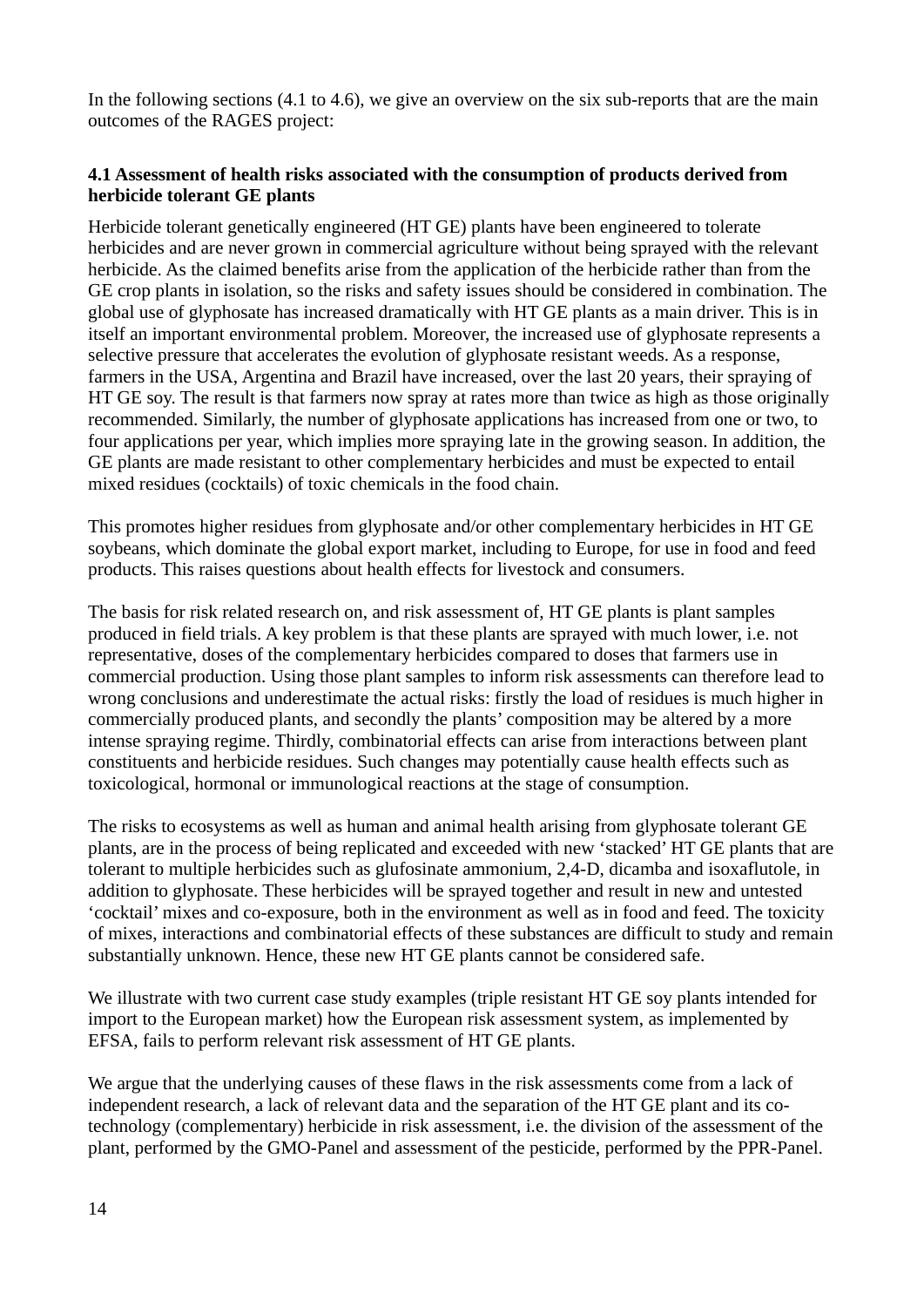In the following sections (4.1 to 4.6), we give an overview on the six sub-reports that are the main outcomes of the RAGES project:

## <span id="page-13-0"></span>**4.1 Assessment of health risks associated with the consumption of products derived from herbicide tolerant GE plants**

Herbicide tolerant genetically engineered (HT GE) plants have been engineered to tolerate herbicides and are never grown in commercial agriculture without being sprayed with the relevant herbicide. As the claimed benefits arise from the application of the herbicide rather than from the GE crop plants in isolation, so the risks and safety issues should be considered in combination. The global use of glyphosate has increased dramatically with HT GE plants as a main driver. This is in itself an important environmental problem. Moreover, the increased use of glyphosate represents a selective pressure that accelerates the evolution of glyphosate resistant weeds. As a response, farmers in the USA, Argentina and Brazil have increased, over the last 20 years, their spraying of HT GE soy. The result is that farmers now spray at rates more than twice as high as those originally recommended. Similarly, the number of glyphosate applications has increased from one or two, to four applications per year, which implies more spraying late in the growing season. In addition, the GE plants are made resistant to other complementary herbicides and must be expected to entail mixed residues (cocktails) of toxic chemicals in the food chain.

This promotes higher residues from glyphosate and/or other complementary herbicides in HT GE soybeans, which dominate the global export market, including to Europe, for use in food and feed products. This raises questions about health effects for livestock and consumers.

The basis for risk related research on, and risk assessment of, HT GE plants is plant samples produced in field trials. A key problem is that these plants are sprayed with much lower, i.e. not representative, doses of the complementary herbicides compared to doses that farmers use in commercial production. Using those plant samples to inform risk assessments can therefore lead to wrong conclusions and underestimate the actual risks: firstly the load of residues is much higher in commercially produced plants, and secondly the plants' composition may be altered by a more intense spraying regime. Thirdly, combinatorial effects can arise from interactions between plant constituents and herbicide residues. Such changes may potentially cause health effects such as toxicological, hormonal or immunological reactions at the stage of consumption.

The risks to ecosystems as well as human and animal health arising from glyphosate tolerant GE plants, are in the process of being replicated and exceeded with new 'stacked' HT GE plants that are tolerant to multiple herbicides such as glufosinate ammonium, 2,4-D, dicamba and isoxaflutole, in addition to glyphosate. These herbicides will be sprayed together and result in new and untested 'cocktail' mixes and co-exposure, both in the environment as well as in food and feed. The toxicity of mixes, interactions and combinatorial effects of these substances are difficult to study and remain substantially unknown. Hence, these new HT GE plants cannot be considered safe.

We illustrate with two current case study examples (triple resistant HT GE soy plants intended for import to the European market) how the European risk assessment system, as implemented by EFSA, fails to perform relevant risk assessment of HT GE plants.

We argue that the underlying causes of these flaws in the risk assessments come from a lack of independent research, a lack of relevant data and the separation of the HT GE plant and its cotechnology (complementary) herbicide in risk assessment, i.e. the division of the assessment of the plant, performed by the GMO-Panel and assessment of the pesticide, performed by the PPR-Panel.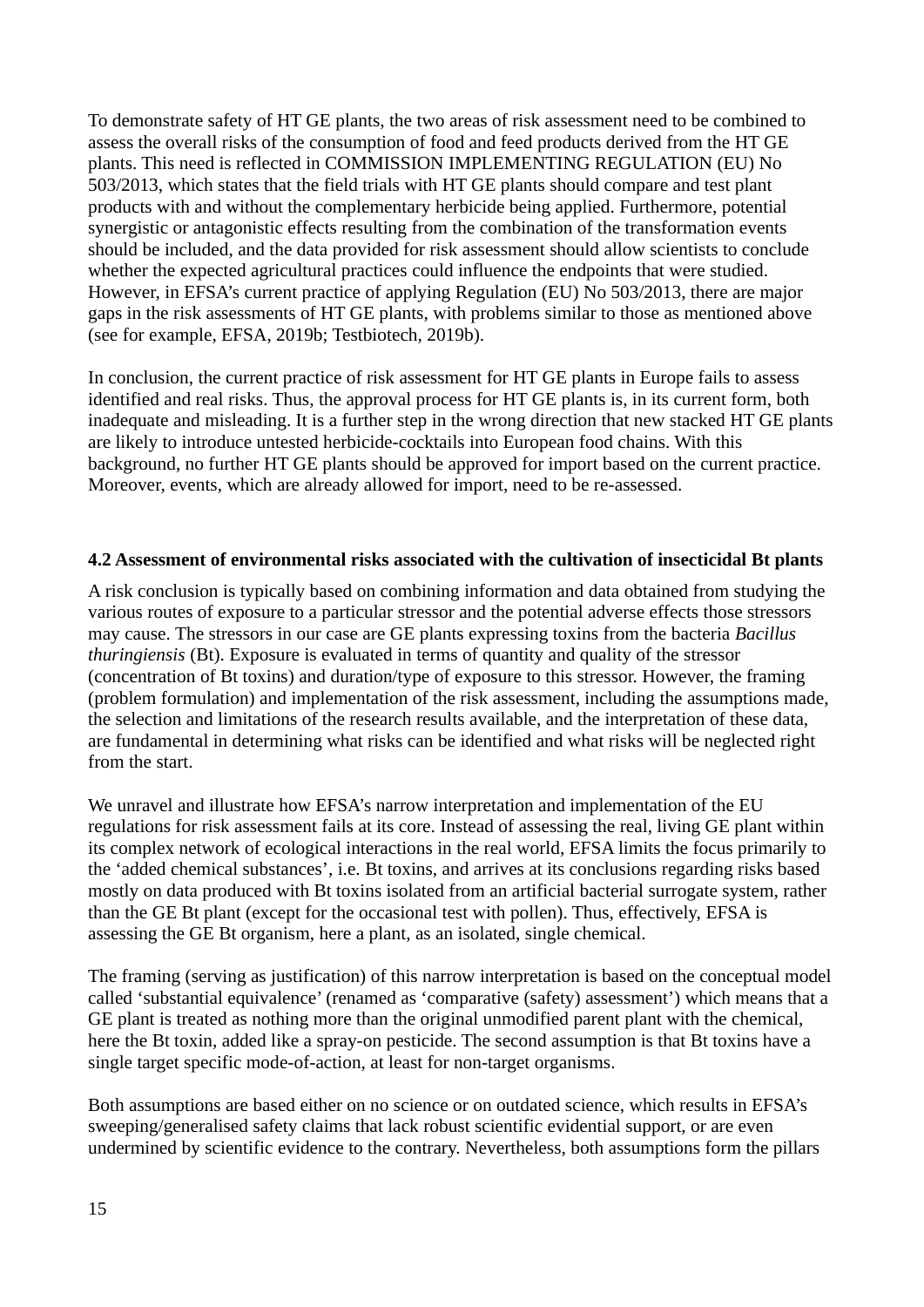To demonstrate safety of HT GE plants, the two areas of risk assessment need to be combined to assess the overall risks of the consumption of food and feed products derived from the HT GE plants. This need is reflected in COMMISSION IMPLEMENTING REGULATION (EU) No 503/2013, which states that the field trials with HT GE plants should compare and test plant products with and without the complementary herbicide being applied. Furthermore, potential synergistic or antagonistic effects resulting from the combination of the transformation events should be included, and the data provided for risk assessment should allow scientists to conclude whether the expected agricultural practices could influence the endpoints that were studied. However, in EFSA's current practice of applying Regulation (EU) No 503/2013, there are major gaps in the risk assessments of HT GE plants, with problems similar to those as mentioned above (see for example, EFSA, 2019b; Testbiotech, 2019b).

In conclusion, the current practice of risk assessment for HT GE plants in Europe fails to assess identified and real risks. Thus, the approval process for HT GE plants is, in its current form, both inadequate and misleading. It is a further step in the wrong direction that new stacked HT GE plants are likely to introduce untested herbicide-cocktails into European food chains. With this background, no further HT GE plants should be approved for import based on the current practice. Moreover, events, which are already allowed for import, need to be re-assessed.

#### <span id="page-14-0"></span>**4.2 Assessment of environmental risks associated with the cultivation of insecticidal Bt plants**

A risk conclusion is typically based on combining information and data obtained from studying the various routes of exposure to a particular stressor and the potential adverse effects those stressors may cause. The stressors in our case are GE plants expressing toxins from the bacteria *Bacillus thuringiensis* (Bt). Exposure is evaluated in terms of quantity and quality of the stressor (concentration of Bt toxins) and duration/type of exposure to this stressor. However, the framing (problem formulation) and implementation of the risk assessment, including the assumptions made, the selection and limitations of the research results available, and the interpretation of these data, are fundamental in determining what risks can be identified and what risks will be neglected right from the start.

We unravel and illustrate how EFSA's narrow interpretation and implementation of the EU regulations for risk assessment fails at its core. Instead of assessing the real, living GE plant within its complex network of ecological interactions in the real world, EFSA limits the focus primarily to the 'added chemical substances', i.e. Bt toxins, and arrives at its conclusions regarding risks based mostly on data produced with Bt toxins isolated from an artificial bacterial surrogate system, rather than the GE Bt plant (except for the occasional test with pollen). Thus, effectively, EFSA is assessing the GE Bt organism, here a plant, as an isolated, single chemical.

The framing (serving as justification) of this narrow interpretation is based on the conceptual model called 'substantial equivalence' (renamed as 'comparative (safety) assessment') which means that a GE plant is treated as nothing more than the original unmodified parent plant with the chemical, here the Bt toxin, added like a spray-on pesticide. The second assumption is that Bt toxins have a single target specific mode-of-action, at least for non-target organisms.

Both assumptions are based either on no science or on outdated science, which results in EFSA's sweeping/generalised safety claims that lack robust scientific evidential support, or are even undermined by scientific evidence to the contrary. Nevertheless, both assumptions form the pillars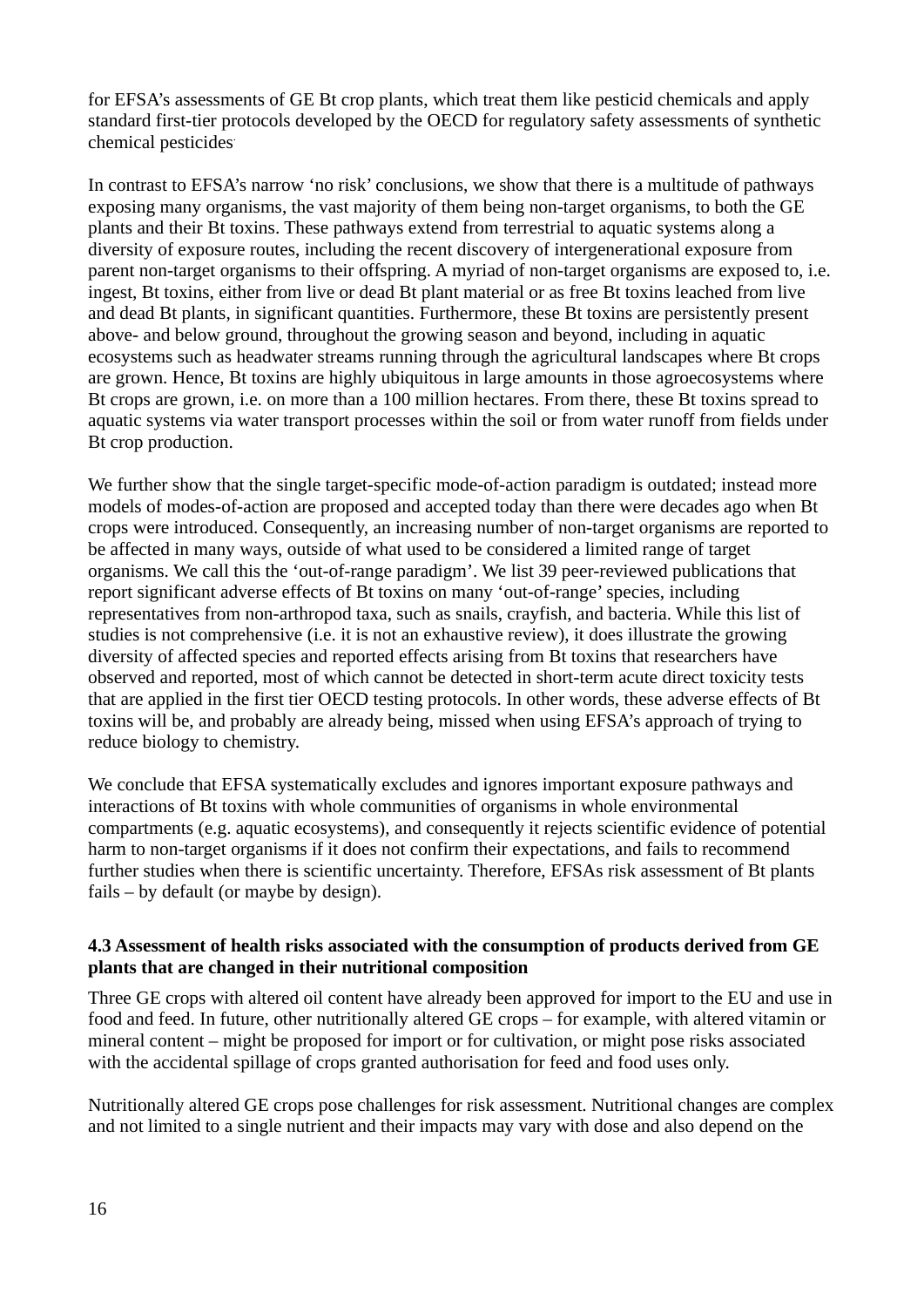for EFSA's assessments of GE Bt crop plants, which treat them like pesticid chemicals and apply standard first-tier protocols developed by the OECD for regulatory safety assessments of synthetic chemical pesticides.

In contrast to EFSA's narrow 'no risk' conclusions, we show that there is a multitude of pathways exposing many organisms, the vast majority of them being non-target organisms, to both the GE plants and their Bt toxins. These pathways extend from terrestrial to aquatic systems along a diversity of exposure routes, including the recent discovery of intergenerational exposure from parent non-target organisms to their offspring. A myriad of non-target organisms are exposed to, i.e. ingest, Bt toxins, either from live or dead Bt plant material or as free Bt toxins leached from live and dead Bt plants, in significant quantities. Furthermore, these Bt toxins are persistently present above- and below ground, throughout the growing season and beyond, including in aquatic ecosystems such as headwater streams running through the agricultural landscapes where Bt crops are grown. Hence, Bt toxins are highly ubiquitous in large amounts in those agroecosystems where Bt crops are grown, i.e. on more than a 100 million hectares. From there, these Bt toxins spread to aquatic systems via water transport processes within the soil or from water runoff from fields under Bt crop production.

We further show that the single target-specific mode-of-action paradigm is outdated; instead more models of modes-of-action are proposed and accepted today than there were decades ago when Bt crops were introduced. Consequently, an increasing number of non-target organisms are reported to be affected in many ways, outside of what used to be considered a limited range of target organisms. We call this the 'out-of-range paradigm'. We list 39 peer-reviewed publications that report significant adverse effects of Bt toxins on many 'out-of-range' species, including representatives from non-arthropod taxa, such as snails, crayfish, and bacteria. While this list of studies is not comprehensive (i.e. it is not an exhaustive review), it does illustrate the growing diversity of affected species and reported effects arising from Bt toxins that researchers have observed and reported, most of which cannot be detected in short-term acute direct toxicity tests that are applied in the first tier OECD testing protocols. In other words, these adverse effects of Bt toxins will be, and probably are already being, missed when using EFSA's approach of trying to reduce biology to chemistry.

We conclude that EFSA systematically excludes and ignores important exposure pathways and interactions of Bt toxins with whole communities of organisms in whole environmental compartments (e.g. aquatic ecosystems), and consequently it rejects scientific evidence of potential harm to non-target organisms if it does not confirm their expectations, and fails to recommend further studies when there is scientific uncertainty. Therefore, EFSAs risk assessment of Bt plants fails – by default (or maybe by design).

#### <span id="page-15-0"></span>**4.3 Assessment of health risks associated with the consumption of products derived from GE plants that are changed in their nutritional composition**

Three GE crops with altered oil content have already been approved for import to the EU and use in food and feed. In future, other nutritionally altered GE crops – for example, with altered vitamin or mineral content – might be proposed for import or for cultivation, or might pose risks associated with the accidental spillage of crops granted authorisation for feed and food uses only.

Nutritionally altered GE crops pose challenges for risk assessment. Nutritional changes are complex and not limited to a single nutrient and their impacts may vary with dose and also depend on the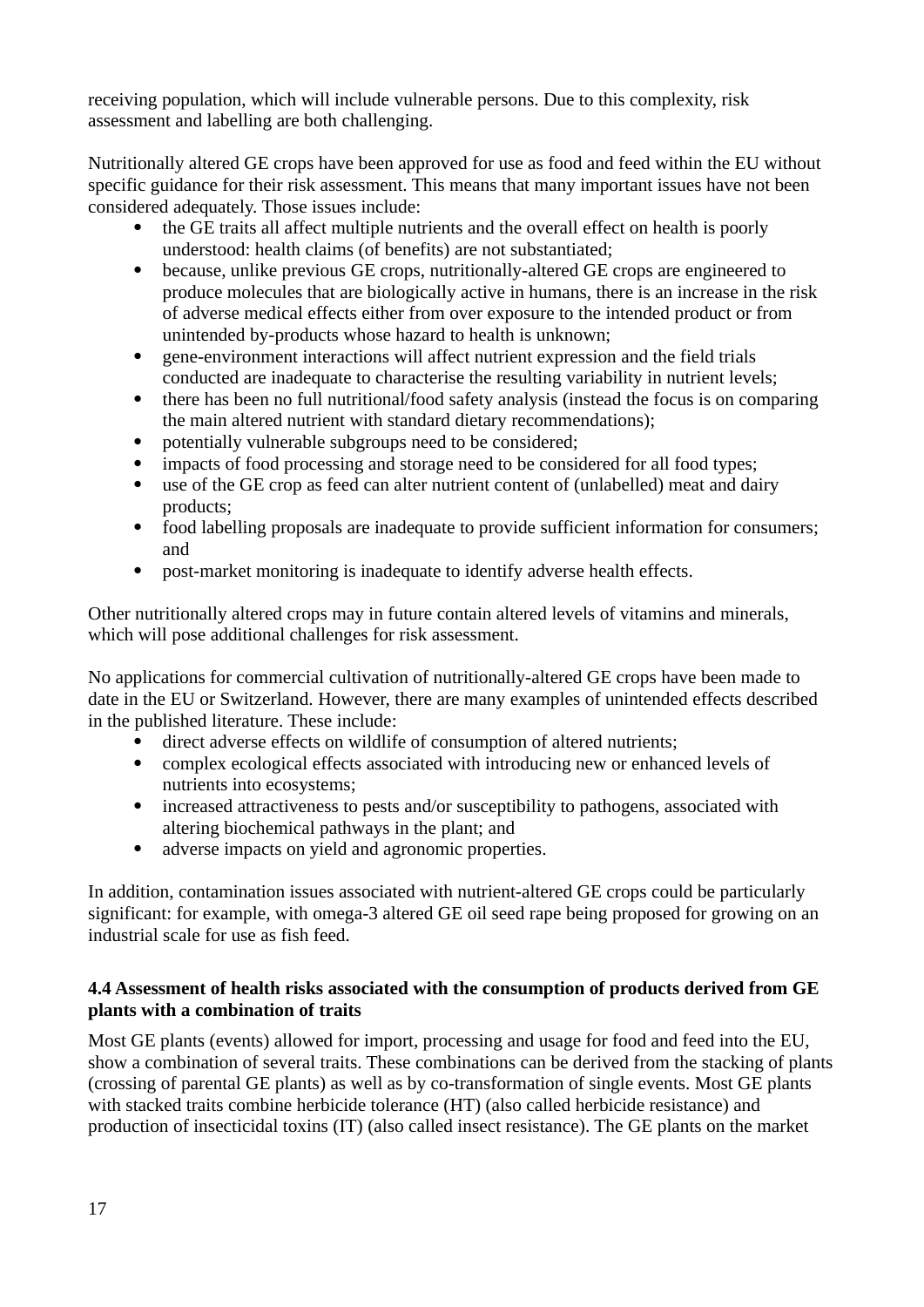receiving population, which will include vulnerable persons. Due to this complexity, risk assessment and labelling are both challenging.

Nutritionally altered GE crops have been approved for use as food and feed within the EU without specific guidance for their risk assessment. This means that many important issues have not been considered adequately. Those issues include:

- the GE traits all affect multiple nutrients and the overall effect on health is poorly understood: health claims (of benefits) are not substantiated;
- because, unlike previous GE crops, nutritionally-altered GE crops are engineered to produce molecules that are biologically active in humans, there is an increase in the risk of adverse medical effects either from over exposure to the intended product or from unintended by-products whose hazard to health is unknown;
- gene-environment interactions will affect nutrient expression and the field trials conducted are inadequate to characterise the resulting variability in nutrient levels;
- there has been no full nutritional/food safety analysis (instead the focus is on comparing the main altered nutrient with standard dietary recommendations);
- potentially vulnerable subgroups need to be considered;
- impacts of food processing and storage need to be considered for all food types;
- use of the GE crop as feed can alter nutrient content of (unlabelled) meat and dairy products;
- food labelling proposals are inadequate to provide sufficient information for consumers; and
- post-market monitoring is inadequate to identify adverse health effects.

Other nutritionally altered crops may in future contain altered levels of vitamins and minerals, which will pose additional challenges for risk assessment.

No applications for commercial cultivation of nutritionally-altered GE crops have been made to date in the EU or Switzerland. However, there are many examples of unintended effects described in the published literature. These include:

- direct adverse effects on wildlife of consumption of altered nutrients;
- complex ecological effects associated with introducing new or enhanced levels of nutrients into ecosystems;
- increased attractiveness to pests and/or susceptibility to pathogens, associated with altering biochemical pathways in the plant; and
- adverse impacts on yield and agronomic properties.

In addition, contamination issues associated with nutrient-altered GE crops could be particularly significant: for example, with omega-3 altered GE oil seed rape being proposed for growing on an industrial scale for use as fish feed.

## <span id="page-16-0"></span>**4.4 Assessment of health risks associated with the consumption of products derived from GE plants with a combination of traits**

Most GE plants (events) allowed for import, processing and usage for food and feed into the EU, show a combination of several traits. These combinations can be derived from the stacking of plants (crossing of parental GE plants) as well as by co-transformation of single events. Most GE plants with stacked traits combine herbicide tolerance (HT) (also called herbicide resistance) and production of insecticidal toxins (IT) (also called insect resistance). The GE plants on the market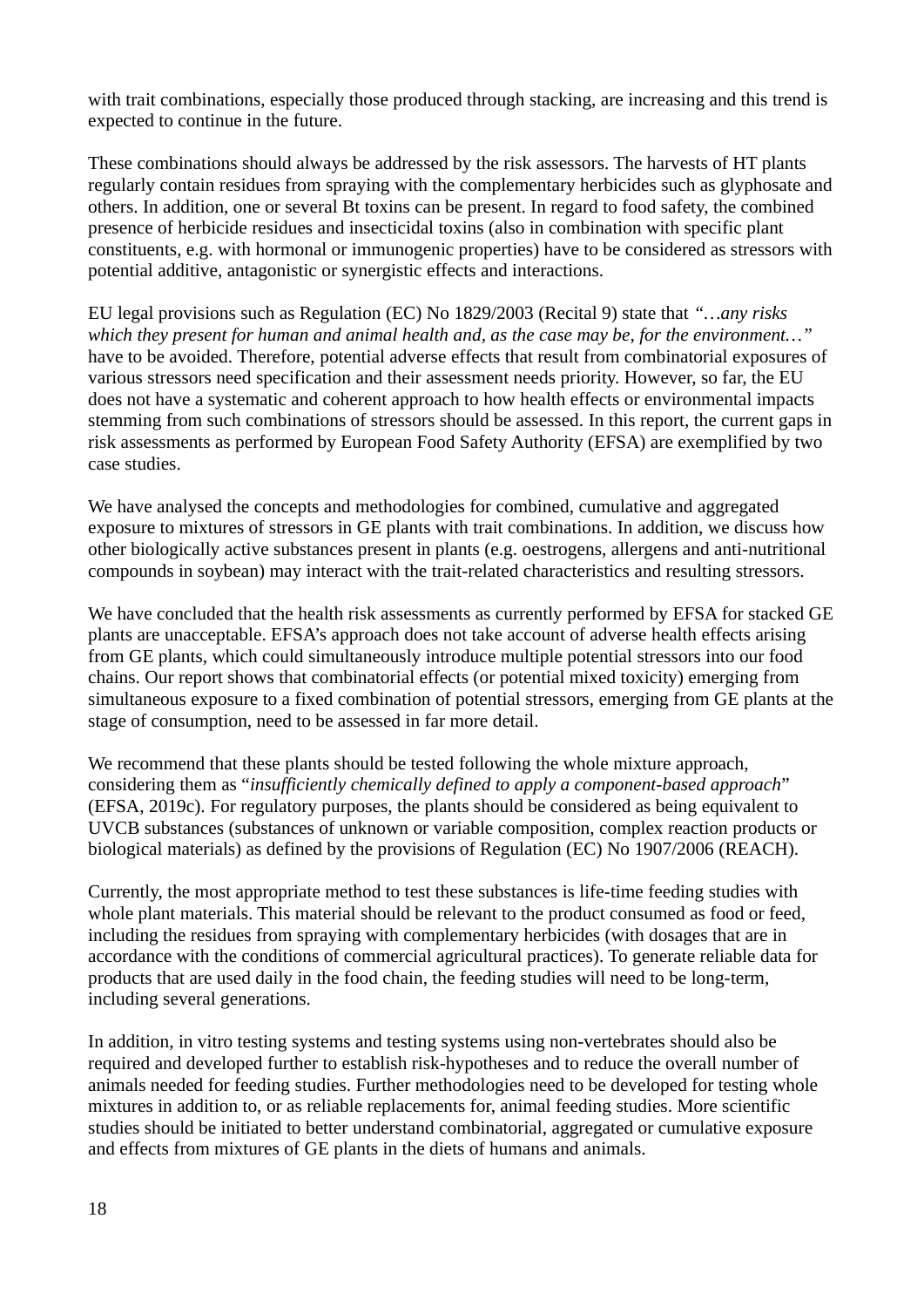with trait combinations, especially those produced through stacking, are increasing and this trend is expected to continue in the future.

These combinations should always be addressed by the risk assessors. The harvests of HT plants regularly contain residues from spraying with the complementary herbicides such as glyphosate and others. In addition, one or several Bt toxins can be present. In regard to food safety, the combined presence of herbicide residues and insecticidal toxins (also in combination with specific plant constituents, e.g. with hormonal or immunogenic properties) have to be considered as stressors with potential additive, antagonistic or synergistic effects and interactions.

EU legal provisions such as Regulation (EC) No 1829/2003 (Recital 9) state that *"…any risks which they present for human and animal health and, as the case may be, for the environment…"* have to be avoided. Therefore, potential adverse effects that result from combinatorial exposures of various stressors need specification and their assessment needs priority. However, so far, the EU does not have a systematic and coherent approach to how health effects or environmental impacts stemming from such combinations of stressors should be assessed. In this report, the current gaps in risk assessments as performed by European Food Safety Authority (EFSA) are exemplified by two case studies.

We have analysed the concepts and methodologies for combined, cumulative and aggregated exposure to mixtures of stressors in GE plants with trait combinations. In addition, we discuss how other biologically active substances present in plants (e.g. oestrogens, allergens and anti-nutritional compounds in soybean) may interact with the trait-related characteristics and resulting stressors.

We have concluded that the health risk assessments as currently performed by EFSA for stacked GE plants are unacceptable. EFSA's approach does not take account of adverse health effects arising from GE plants, which could simultaneously introduce multiple potential stressors into our food chains. Our report shows that combinatorial effects (or potential mixed toxicity) emerging from simultaneous exposure to a fixed combination of potential stressors, emerging from GE plants at the stage of consumption, need to be assessed in far more detail.

We recommend that these plants should be tested following the whole mixture approach, considering them as "*insufficiently chemically defined to apply a component-based approach*" (EFSA, 2019c). For regulatory purposes, the plants should be considered as being equivalent to UVCB substances (substances of unknown or variable composition, complex reaction products or biological materials) as defined by the provisions of Regulation (EC) No 1907/2006 (REACH).

Currently, the most appropriate method to test these substances is life-time feeding studies with whole plant materials. This material should be relevant to the product consumed as food or feed, including the residues from spraying with complementary herbicides (with dosages that are in accordance with the conditions of commercial agricultural practices). To generate reliable data for products that are used daily in the food chain, the feeding studies will need to be long-term, including several generations.

In addition, in vitro testing systems and testing systems using non-vertebrates should also be required and developed further to establish risk-hypotheses and to reduce the overall number of animals needed for feeding studies. Further methodologies need to be developed for testing whole mixtures in addition to, or as reliable replacements for, animal feeding studies. More scientific studies should be initiated to better understand combinatorial, aggregated or cumulative exposure and effects from mixtures of GE plants in the diets of humans and animals.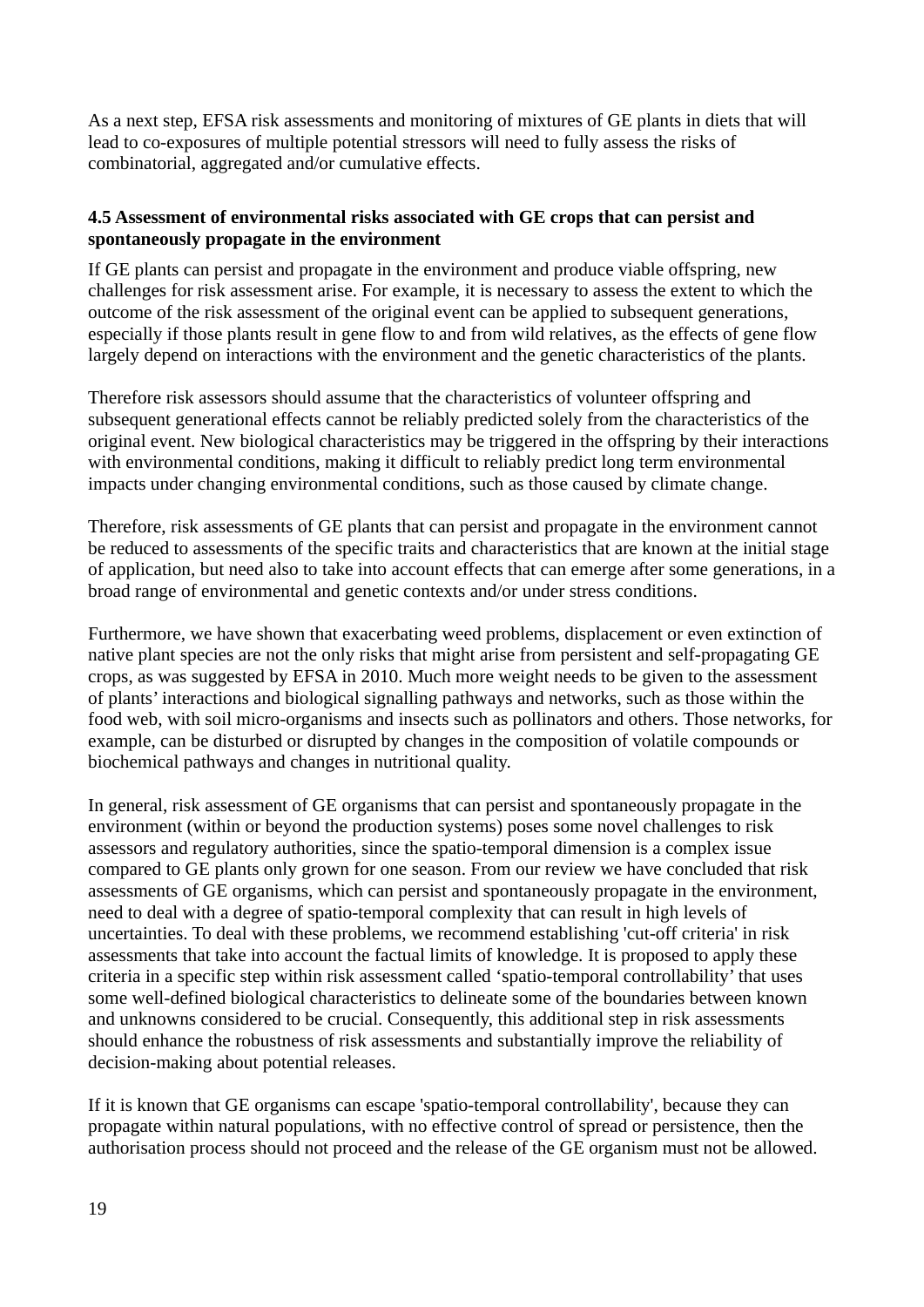As a next step, EFSA risk assessments and monitoring of mixtures of GE plants in diets that will lead to co-exposures of multiple potential stressors will need to fully assess the risks of combinatorial, aggregated and/or cumulative effects.

#### <span id="page-18-0"></span>**4.5 Assessment of environmental risks associated with GE crops that can persist and spontaneously propagate in the environment**

If GE plants can persist and propagate in the environment and produce viable offspring, new challenges for risk assessment arise. For example, it is necessary to assess the extent to which the outcome of the risk assessment of the original event can be applied to subsequent generations, especially if those plants result in gene flow to and from wild relatives, as the effects of gene flow largely depend on interactions with the environment and the genetic characteristics of the plants.

Therefore risk assessors should assume that the characteristics of volunteer offspring and subsequent generational effects cannot be reliably predicted solely from the characteristics of the original event. New biological characteristics may be triggered in the offspring by their interactions with environmental conditions, making it difficult to reliably predict long term environmental impacts under changing environmental conditions, such as those caused by climate change.

Therefore, risk assessments of GE plants that can persist and propagate in the environment cannot be reduced to assessments of the specific traits and characteristics that are known at the initial stage of application, but need also to take into account effects that can emerge after some generations, in a broad range of environmental and genetic contexts and/or under stress conditions.

Furthermore, we have shown that exacerbating weed problems, displacement or even extinction of native plant species are not the only risks that might arise from persistent and self-propagating GE crops, as was suggested by EFSA in 2010. Much more weight needs to be given to the assessment of plants' interactions and biological signalling pathways and networks, such as those within the food web, with soil micro-organisms and insects such as pollinators and others. Those networks, for example, can be disturbed or disrupted by changes in the composition of volatile compounds or biochemical pathways and changes in nutritional quality.

In general, risk assessment of GE organisms that can persist and spontaneously propagate in the environment (within or beyond the production systems) poses some novel challenges to risk assessors and regulatory authorities, since the spatio-temporal dimension is a complex issue compared to GE plants only grown for one season. From our review we have concluded that risk assessments of GE organisms, which can persist and spontaneously propagate in the environment, need to deal with a degree of spatio-temporal complexity that can result in high levels of uncertainties. To deal with these problems, we recommend establishing 'cut-off criteria' in risk assessments that take into account the factual limits of knowledge. It is proposed to apply these criteria in a specific step within risk assessment called 'spatio-temporal controllability' that uses some well-defined biological characteristics to delineate some of the boundaries between known and unknowns considered to be crucial. Consequently, this additional step in risk assessments should enhance the robustness of risk assessments and substantially improve the reliability of decision-making about potential releases.

If it is known that GE organisms can escape 'spatio-temporal controllability', because they can propagate within natural populations, with no effective control of spread or persistence, then the authorisation process should not proceed and the release of the GE organism must not be allowed.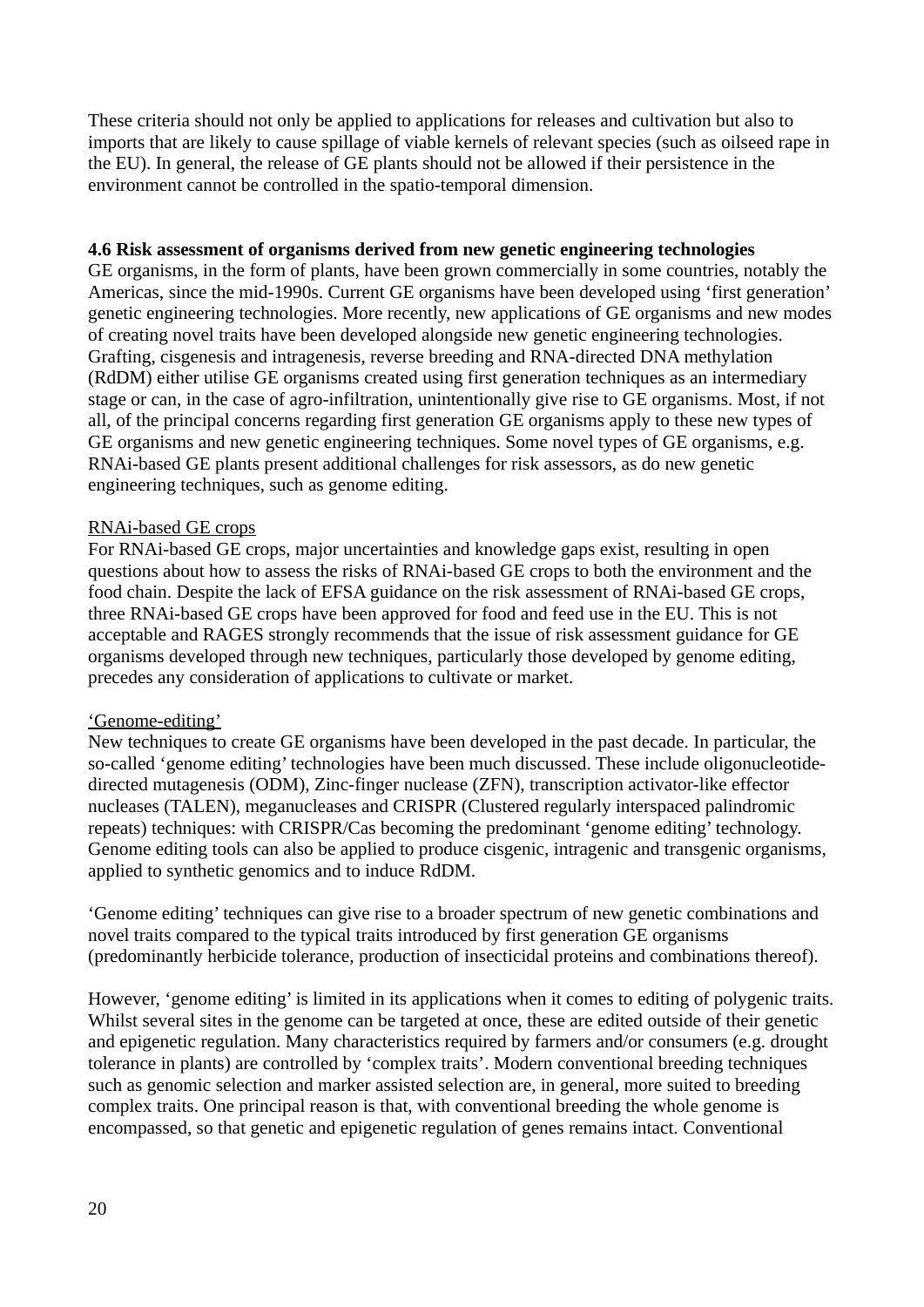These criteria should not only be applied to applications for releases and cultivation but also to imports that are likely to cause spillage of viable kernels of relevant species (such as oilseed rape in the EU). In general, the release of GE plants should not be allowed if their persistence in the environment cannot be controlled in the spatio-temporal dimension.

#### **4.6 Risk assessment of organisms derived from new genetic engineering technologies**

GE organisms, in the form of plants, have been grown commercially in some countries, notably the Americas, since the mid-1990s. Current GE organisms have been developed using 'first generation' genetic engineering technologies. More recently, new applications of GE organisms and new modes of creating novel traits have been developed alongside new genetic engineering technologies. Grafting, cisgenesis and intragenesis, reverse breeding and RNA-directed DNA methylation (RdDM) either utilise GE organisms created using first generation techniques as an intermediary stage or can, in the case of agro-infiltration, unintentionally give rise to GE organisms. Most, if not all, of the principal concerns regarding first generation GE organisms apply to these new types of GE organisms and new genetic engineering techniques. Some novel types of GE organisms, e.g. RNAi-based GE plants present additional challenges for risk assessors, as do new genetic engineering techniques, such as genome editing.

#### RNAi-based GE crops

For RNAi-based GE crops, major uncertainties and knowledge gaps exist, resulting in open questions about how to assess the risks of RNAi-based GE crops to both the environment and the food chain. Despite the lack of EFSA guidance on the risk assessment of RNAi-based GE crops, three RNAi-based GE crops have been approved for food and feed use in the EU. This is not acceptable and RAGES strongly recommends that the issue of risk assessment guidance for GE organisms developed through new techniques, particularly those developed by genome editing, precedes any consideration of applications to cultivate or market.

#### 'Genome-editing'

New techniques to create GE organisms have been developed in the past decade. In particular, the so-called 'genome editing' technologies have been much discussed. These include oligonucleotidedirected mutagenesis (ODM), Zinc-finger nuclease (ZFN), transcription activator-like effector nucleases (TALEN), meganucleases and CRISPR (Clustered regularly interspaced palindromic repeats) techniques: with CRISPR/Cas becoming the predominant 'genome editing' technology. Genome editing tools can also be applied to produce cisgenic, intragenic and transgenic organisms, applied to synthetic genomics and to induce RdDM.

'Genome editing' techniques can give rise to a broader spectrum of new genetic combinations and novel traits compared to the typical traits introduced by first generation GE organisms (predominantly herbicide tolerance, production of insecticidal proteins and combinations thereof).

However, 'genome editing' is limited in its applications when it comes to editing of polygenic traits. Whilst several sites in the genome can be targeted at once, these are edited outside of their genetic and epigenetic regulation. Many characteristics required by farmers and/or consumers (e.g. drought tolerance in plants) are controlled by 'complex traits'. Modern conventional breeding techniques such as genomic selection and marker assisted selection are, in general, more suited to breeding complex traits. One principal reason is that, with conventional breeding the whole genome is encompassed, so that genetic and epigenetic regulation of genes remains intact. Conventional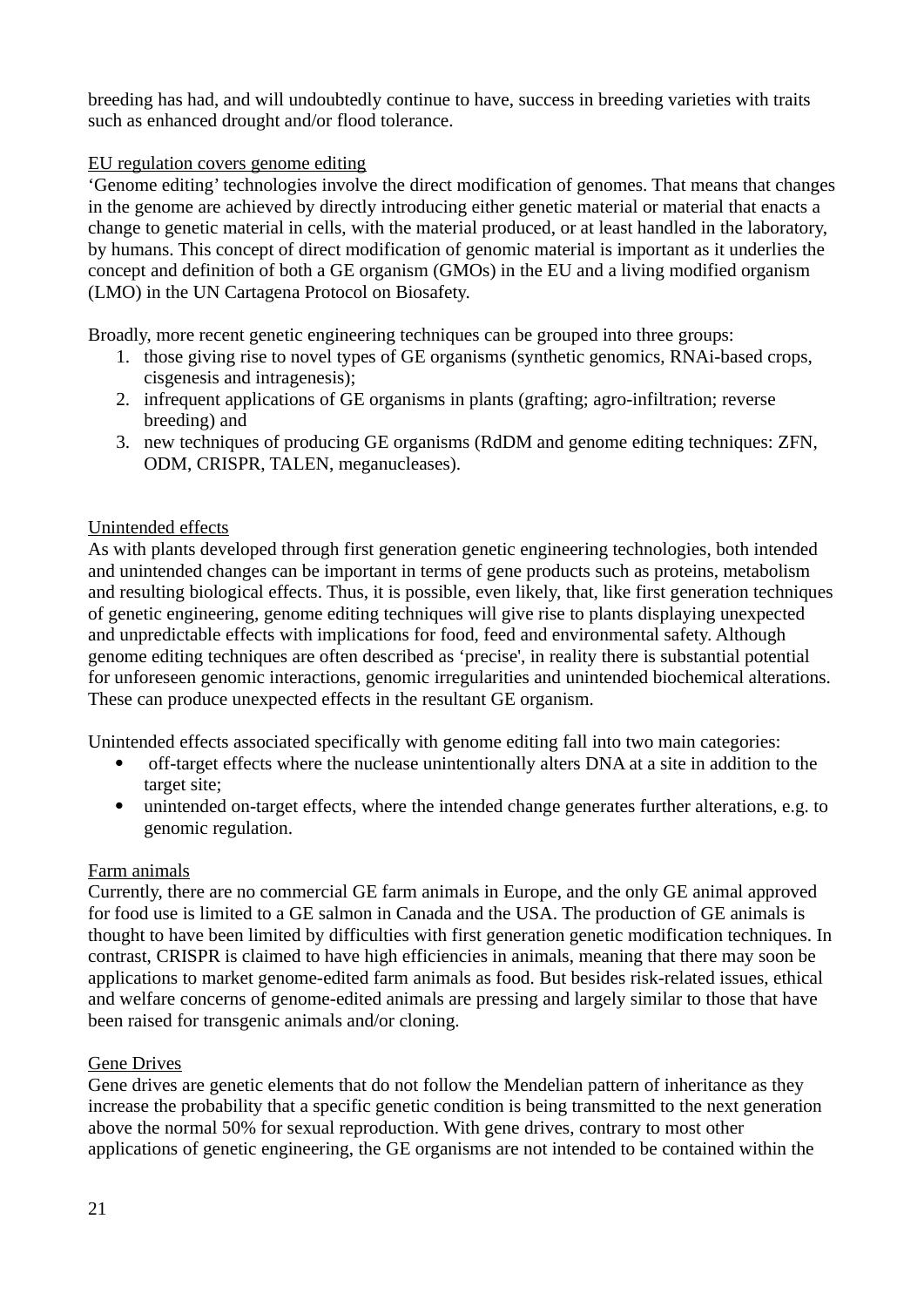breeding has had, and will undoubtedly continue to have, success in breeding varieties with traits such as enhanced drought and/or flood tolerance.

### EU regulation covers genome editing

'Genome editing' technologies involve the direct modification of genomes. That means that changes in the genome are achieved by directly introducing either genetic material or material that enacts a change to genetic material in cells, with the material produced, or at least handled in the laboratory, by humans. This concept of direct modification of genomic material is important as it underlies the concept and definition of both a GE organism (GMOs) in the EU and a living modified organism (LMO) in the UN Cartagena Protocol on Biosafety.

Broadly, more recent genetic engineering techniques can be grouped into three groups:

- 1. those giving rise to novel types of GE organisms (synthetic genomics, RNAi-based crops, cisgenesis and intragenesis);
- 2. infrequent applications of GE organisms in plants (grafting; agro-infiltration; reverse breeding) and
- 3. new techniques of producing GE organisms (RdDM and genome editing techniques: ZFN, ODM, CRISPR, TALEN, meganucleases).

#### Unintended effects

As with plants developed through first generation genetic engineering technologies, both intended and unintended changes can be important in terms of gene products such as proteins, metabolism and resulting biological effects. Thus, it is possible, even likely, that, like first generation techniques of genetic engineering, genome editing techniques will give rise to plants displaying unexpected and unpredictable effects with implications for food, feed and environmental safety. Although genome editing techniques are often described as 'precise', in reality there is substantial potential for unforeseen genomic interactions, genomic irregularities and unintended biochemical alterations. These can produce unexpected effects in the resultant GE organism.

Unintended effects associated specifically with genome editing fall into two main categories:

- off-target effects where the nuclease unintentionally alters DNA at a site in addition to the target site;
- unintended on-target effects, where the intended change generates further alterations, e.g. to genomic regulation.

#### Farm animals

Currently, there are no commercial GE farm animals in Europe, and the only GE animal approved for food use is limited to a GE salmon in Canada and the USA. The production of GE animals is thought to have been limited by difficulties with first generation genetic modification techniques. In contrast, CRISPR is claimed to have high efficiencies in animals, meaning that there may soon be applications to market genome-edited farm animals as food. But besides risk-related issues, ethical and welfare concerns of genome-edited animals are pressing and largely similar to those that have been raised for transgenic animals and/or cloning.

### Gene Drives

Gene drives are genetic elements that do not follow the Mendelian pattern of inheritance as they increase the probability that a specific genetic condition is being transmitted to the next generation above the normal 50% for sexual reproduction. With gene drives, contrary to most other applications of genetic engineering, the GE organisms are not intended to be contained within the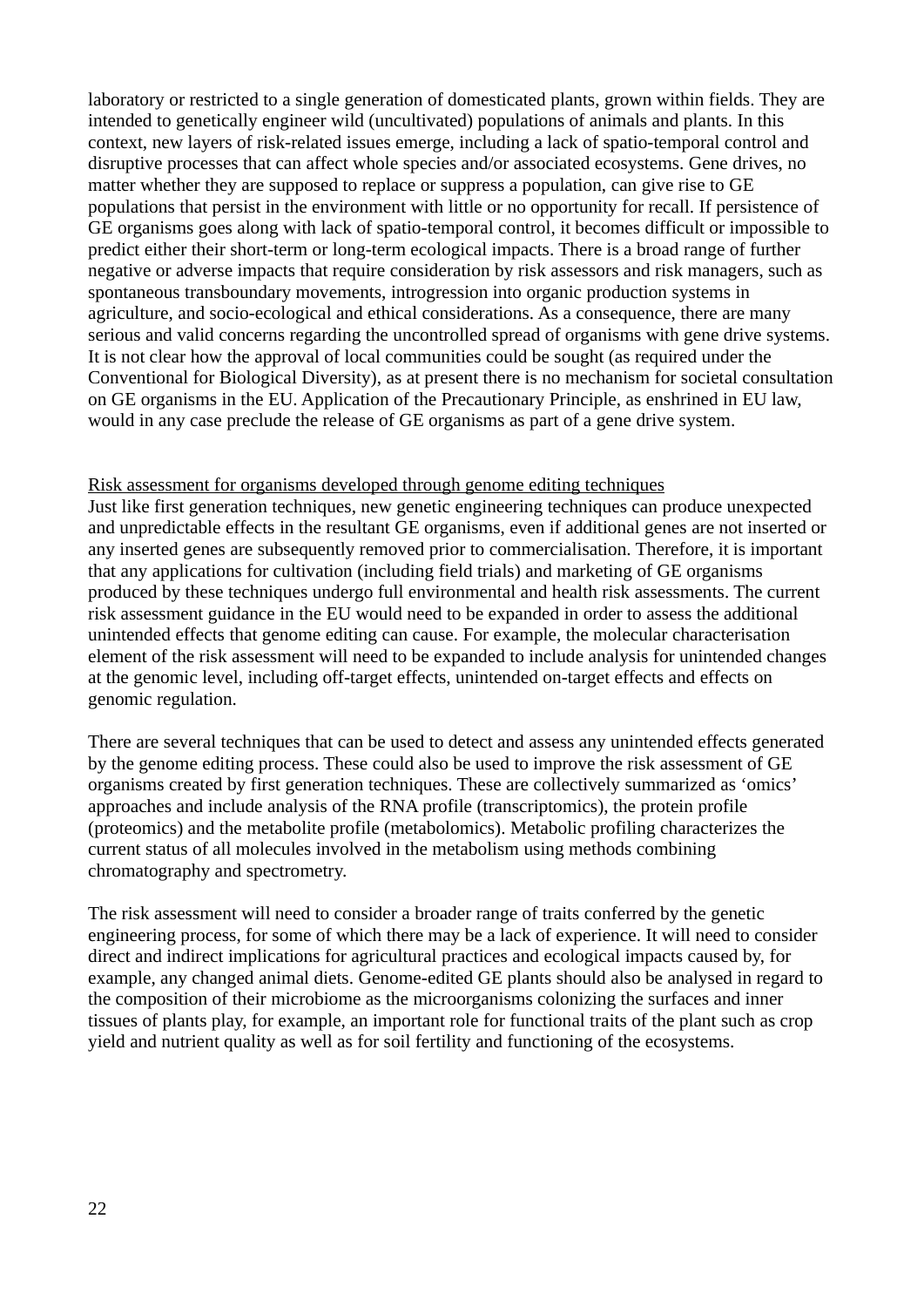laboratory or restricted to a single generation of domesticated plants, grown within fields. They are intended to genetically engineer wild (uncultivated) populations of animals and plants. In this context, new layers of risk-related issues emerge, including a lack of spatio-temporal control and disruptive processes that can affect whole species and/or associated ecosystems. Gene drives, no matter whether they are supposed to replace or suppress a population, can give rise to GE populations that persist in the environment with little or no opportunity for recall. If persistence of GE organisms goes along with lack of spatio-temporal control, it becomes difficult or impossible to predict either their short-term or long-term ecological impacts. There is a broad range of further negative or adverse impacts that require consideration by risk assessors and risk managers, such as spontaneous transboundary movements, introgression into organic production systems in agriculture, and socio-ecological and ethical considerations. As a consequence, there are many serious and valid concerns regarding the uncontrolled spread of organisms with gene drive systems. It is not clear how the approval of local communities could be sought (as required under the Conventional for Biological Diversity), as at present there is no mechanism for societal consultation on GE organisms in the EU. Application of the Precautionary Principle, as enshrined in EU law, would in any case preclude the release of GE organisms as part of a gene drive system.

#### Risk assessment for organisms developed through genome editing techniques

Just like first generation techniques, new genetic engineering techniques can produce unexpected and unpredictable effects in the resultant GE organisms, even if additional genes are not inserted or any inserted genes are subsequently removed prior to commercialisation. Therefore, it is important that any applications for cultivation (including field trials) and marketing of GE organisms produced by these techniques undergo full environmental and health risk assessments. The current risk assessment guidance in the EU would need to be expanded in order to assess the additional unintended effects that genome editing can cause. For example, the molecular characterisation element of the risk assessment will need to be expanded to include analysis for unintended changes at the genomic level, including off-target effects, unintended on-target effects and effects on genomic regulation.

There are several techniques that can be used to detect and assess any unintended effects generated by the genome editing process. These could also be used to improve the risk assessment of GE organisms created by first generation techniques. These are collectively summarized as 'omics' approaches and include analysis of the RNA profile (transcriptomics), the protein profile (proteomics) and the metabolite profile (metabolomics). Metabolic profiling characterizes the current status of all molecules involved in the metabolism using methods combining chromatography and spectrometry.

The risk assessment will need to consider a broader range of traits conferred by the genetic engineering process, for some of which there may be a lack of experience. It will need to consider direct and indirect implications for agricultural practices and ecological impacts caused by, for example, any changed animal diets. Genome-edited GE plants should also be analysed in regard to the composition of their microbiome as the microorganisms colonizing the surfaces and inner tissues of plants play, for example, an important role for functional traits of the plant such as crop yield and nutrient quality as well as for soil fertility and functioning of the ecosystems.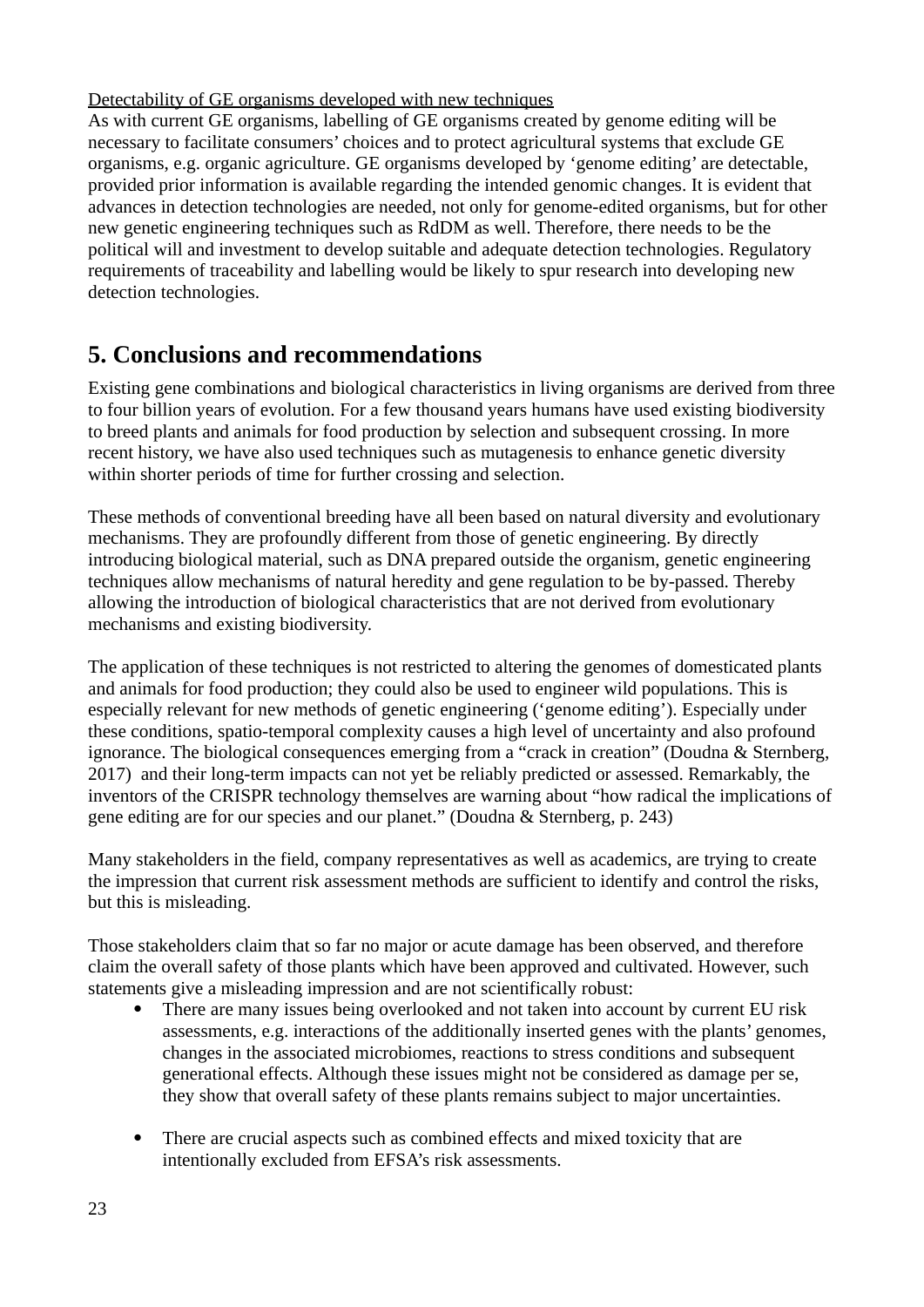Detectability of GE organisms developed with new techniques

As with current GE organisms, labelling of GE organisms created by genome editing will be necessary to facilitate consumers' choices and to protect agricultural systems that exclude GE organisms, e.g. organic agriculture. GE organisms developed by 'genome editing' are detectable, provided prior information is available regarding the intended genomic changes. It is evident that advances in detection technologies are needed, not only for genome-edited organisms, but for other new genetic engineering techniques such as RdDM as well. Therefore, there needs to be the political will and investment to develop suitable and adequate detection technologies. Regulatory requirements of traceability and labelling would be likely to spur research into developing new detection technologies.

# <span id="page-22-0"></span>**5. Conclusions and recommendations**

Existing gene combinations and biological characteristics in living organisms are derived from three to four billion years of evolution. For a few thousand years humans have used existing biodiversity to breed plants and animals for food production by selection and subsequent crossing. In more recent history, we have also used techniques such as mutagenesis to enhance genetic diversity within shorter periods of time for further crossing and selection.

These methods of conventional breeding have all been based on natural diversity and evolutionary mechanisms. They are profoundly different from those of genetic engineering. By directly introducing biological material, such as DNA prepared outside the organism, genetic engineering techniques allow mechanisms of natural heredity and gene regulation to be by-passed. Thereby allowing the introduction of biological characteristics that are not derived from evolutionary mechanisms and existing biodiversity.

The application of these techniques is not restricted to altering the genomes of domesticated plants and animals for food production; they could also be used to engineer wild populations. This is especially relevant for new methods of genetic engineering ('genome editing'). Especially under these conditions, spatio-temporal complexity causes a high level of uncertainty and also profound ignorance. The biological consequences emerging from a "crack in creation" (Doudna & Sternberg, 2017) and their long-term impacts can not yet be reliably predicted or assessed. Remarkably, the inventors of the CRISPR technology themselves are warning about "how radical the implications of gene editing are for our species and our planet." (Doudna & Sternberg, p. 243)

Many stakeholders in the field, company representatives as well as academics, are trying to create the impression that current risk assessment methods are sufficient to identify and control the risks, but this is misleading.

Those stakeholders claim that so far no major or acute damage has been observed, and therefore claim the overall safety of those plants which have been approved and cultivated. However, such statements give a misleading impression and are not scientifically robust:

- There are many issues being overlooked and not taken into account by current EU risk assessments, e.g. interactions of the additionally inserted genes with the plants' genomes, changes in the associated microbiomes, reactions to stress conditions and subsequent generational effects. Although these issues might not be considered as damage per se, they show that overall safety of these plants remains subject to major uncertainties.
- There are crucial aspects such as combined effects and mixed toxicity that are intentionally excluded from EFSA's risk assessments.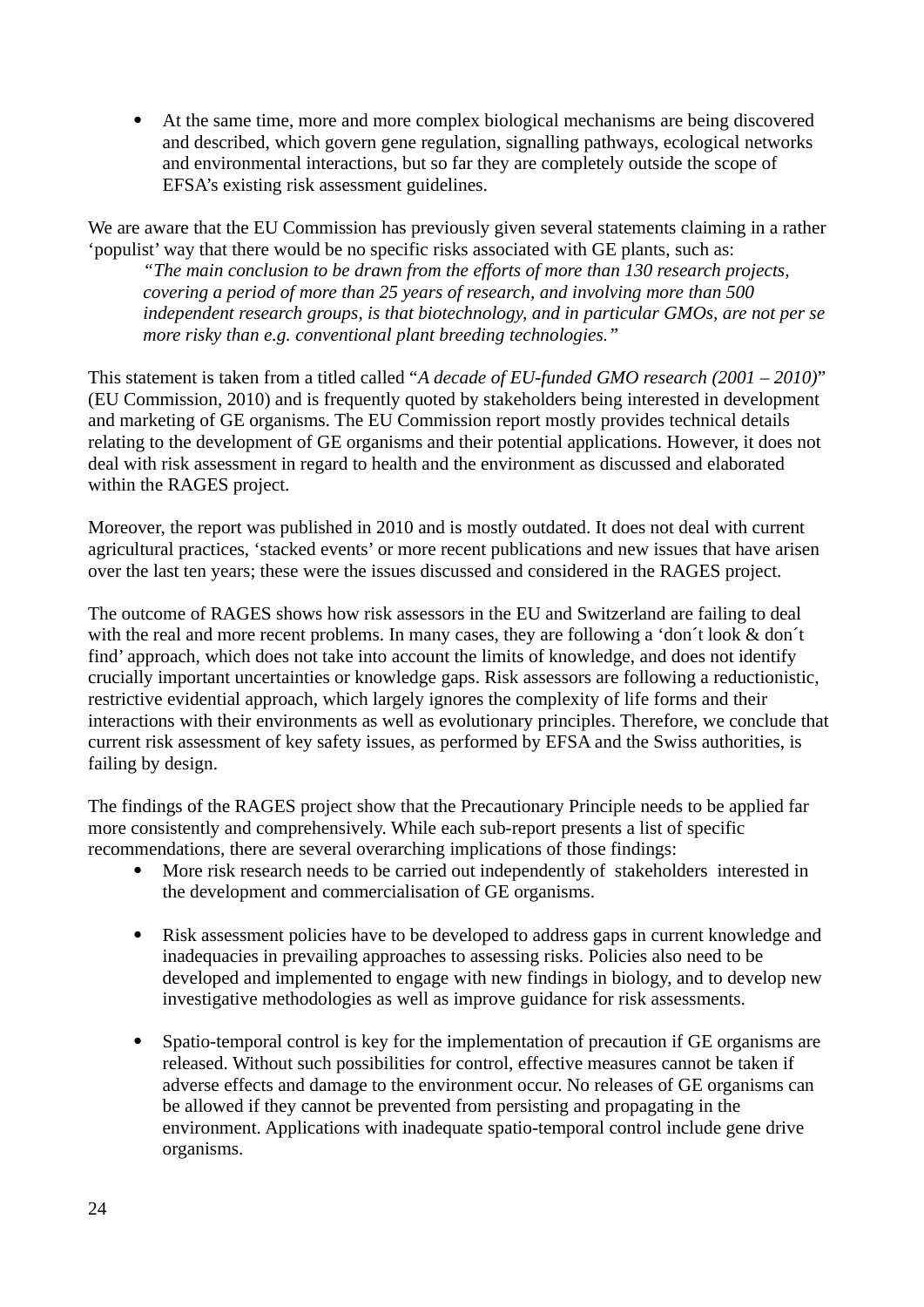At the same time, more and more complex biological mechanisms are being discovered and described, which govern gene regulation, signalling pathways, ecological networks and environmental interactions, but so far they are completely outside the scope of EFSA's existing risk assessment guidelines.

We are aware that the EU Commission has previously given several statements claiming in a rather 'populist' way that there would be no specific risks associated with GE plants, such as:

*"The main conclusion to be drawn from the efforts of more than 130 research projects, covering a period of more than 25 years of research, and involving more than 500 independent research groups, is that biotechnology, and in particular GMOs, are not per se more risky than e.g. conventional plant breeding technologies."*

This statement is taken from a titled called "*A decade of EU-funded GMO research (2001 – 2010)*" (EU Commission, 2010) and is frequently quoted by stakeholders being interested in development and marketing of GE organisms. The EU Commission report mostly provides technical details relating to the development of GE organisms and their potential applications. However, it does not deal with risk assessment in regard to health and the environment as discussed and elaborated within the RAGES project.

Moreover, the report was published in 2010 and is mostly outdated. It does not deal with current agricultural practices, 'stacked events' or more recent publications and new issues that have arisen over the last ten years; these were the issues discussed and considered in the RAGES project.

The outcome of RAGES shows how risk assessors in the EU and Switzerland are failing to deal with the real and more recent problems. In many cases, they are following a 'don´t look & don´t find' approach, which does not take into account the limits of knowledge, and does not identify crucially important uncertainties or knowledge gaps. Risk assessors are following a reductionistic, restrictive evidential approach, which largely ignores the complexity of life forms and their interactions with their environments as well as evolutionary principles. Therefore, we conclude that current risk assessment of key safety issues, as performed by EFSA and the Swiss authorities, is failing by design.

The findings of the RAGES project show that the Precautionary Principle needs to be applied far more consistently and comprehensively. While each sub-report presents a list of specific recommendations, there are several overarching implications of those findings:

- More risk research needs to be carried out independently of stakeholders interested in the development and commercialisation of GE organisms.
- Risk assessment policies have to be developed to address gaps in current knowledge and inadequacies in prevailing approaches to assessing risks. Policies also need to be developed and implemented to engage with new findings in biology, and to develop new investigative methodologies as well as improve guidance for risk assessments.
- Spatio-temporal control is key for the implementation of precaution if GE organisms are released. Without such possibilities for control, effective measures cannot be taken if adverse effects and damage to the environment occur. No releases of GE organisms can be allowed if they cannot be prevented from persisting and propagating in the environment. Applications with inadequate spatio-temporal control include gene drive organisms.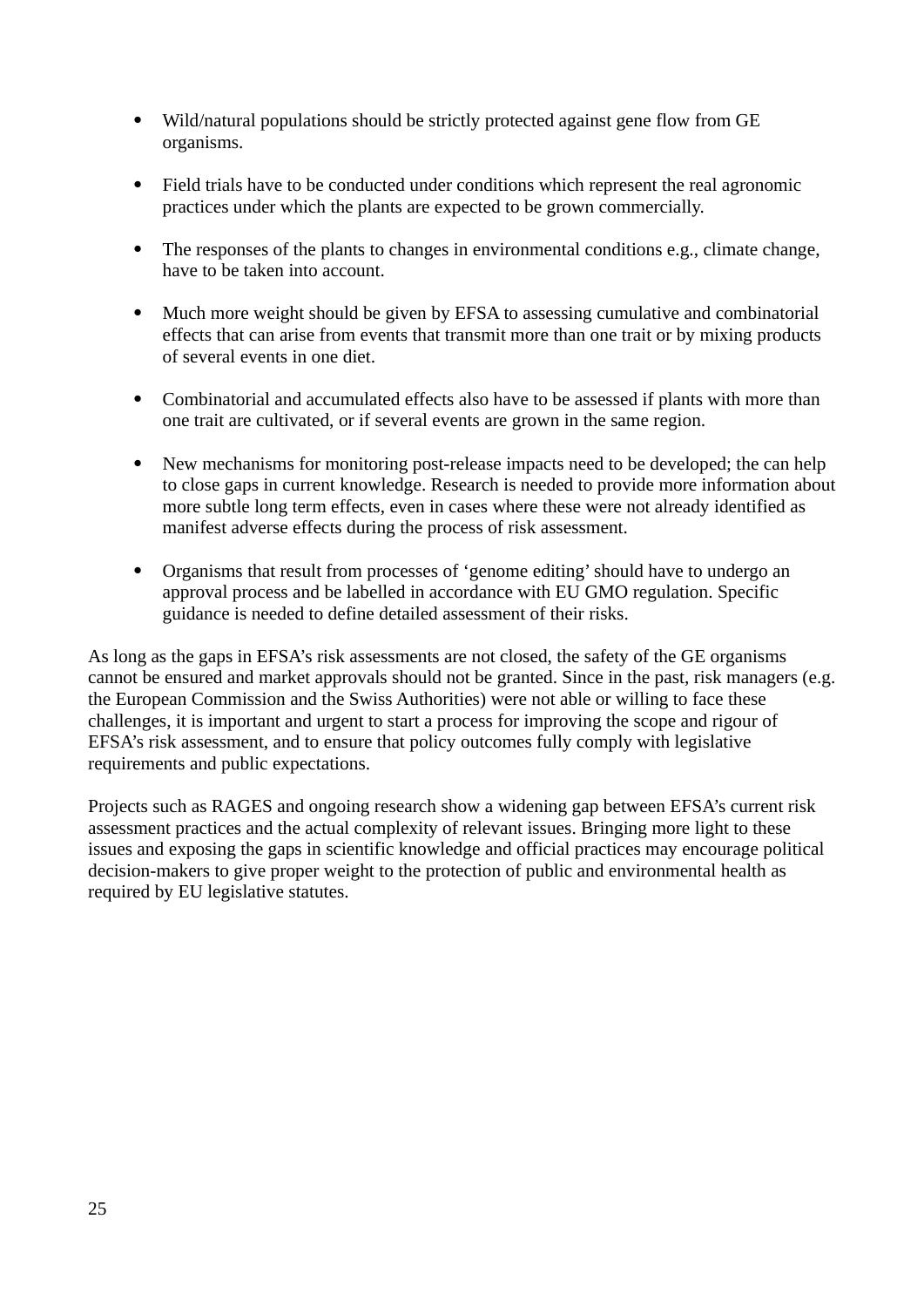- Wild/natural populations should be strictly protected against gene flow from GE organisms.
- Field trials have to be conducted under conditions which represent the real agronomic practices under which the plants are expected to be grown commercially.
- The responses of the plants to changes in environmental conditions e.g., climate change, have to be taken into account.
- Much more weight should be given by EFSA to assessing cumulative and combinatorial effects that can arise from events that transmit more than one trait or by mixing products of several events in one diet.
- Combinatorial and accumulated effects also have to be assessed if plants with more than one trait are cultivated, or if several events are grown in the same region.
- New mechanisms for monitoring post-release impacts need to be developed; the can help to close gaps in current knowledge. Research is needed to provide more information about more subtle long term effects, even in cases where these were not already identified as manifest adverse effects during the process of risk assessment.
- Organisms that result from processes of 'genome editing' should have to undergo an approval process and be labelled in accordance with EU GMO regulation. Specific guidance is needed to define detailed assessment of their risks.

As long as the gaps in EFSA's risk assessments are not closed, the safety of the GE organisms cannot be ensured and market approvals should not be granted. Since in the past, risk managers (e.g. the European Commission and the Swiss Authorities) were not able or willing to face these challenges, it is important and urgent to start a process for improving the scope and rigour of EFSA's risk assessment, and to ensure that policy outcomes fully comply with legislative requirements and public expectations.

Projects such as RAGES and ongoing research show a widening gap between EFSA's current risk assessment practices and the actual complexity of relevant issues. Bringing more light to these issues and exposing the gaps in scientific knowledge and official practices may encourage political decision-makers to give proper weight to the protection of public and environmental health as required by EU legislative statutes.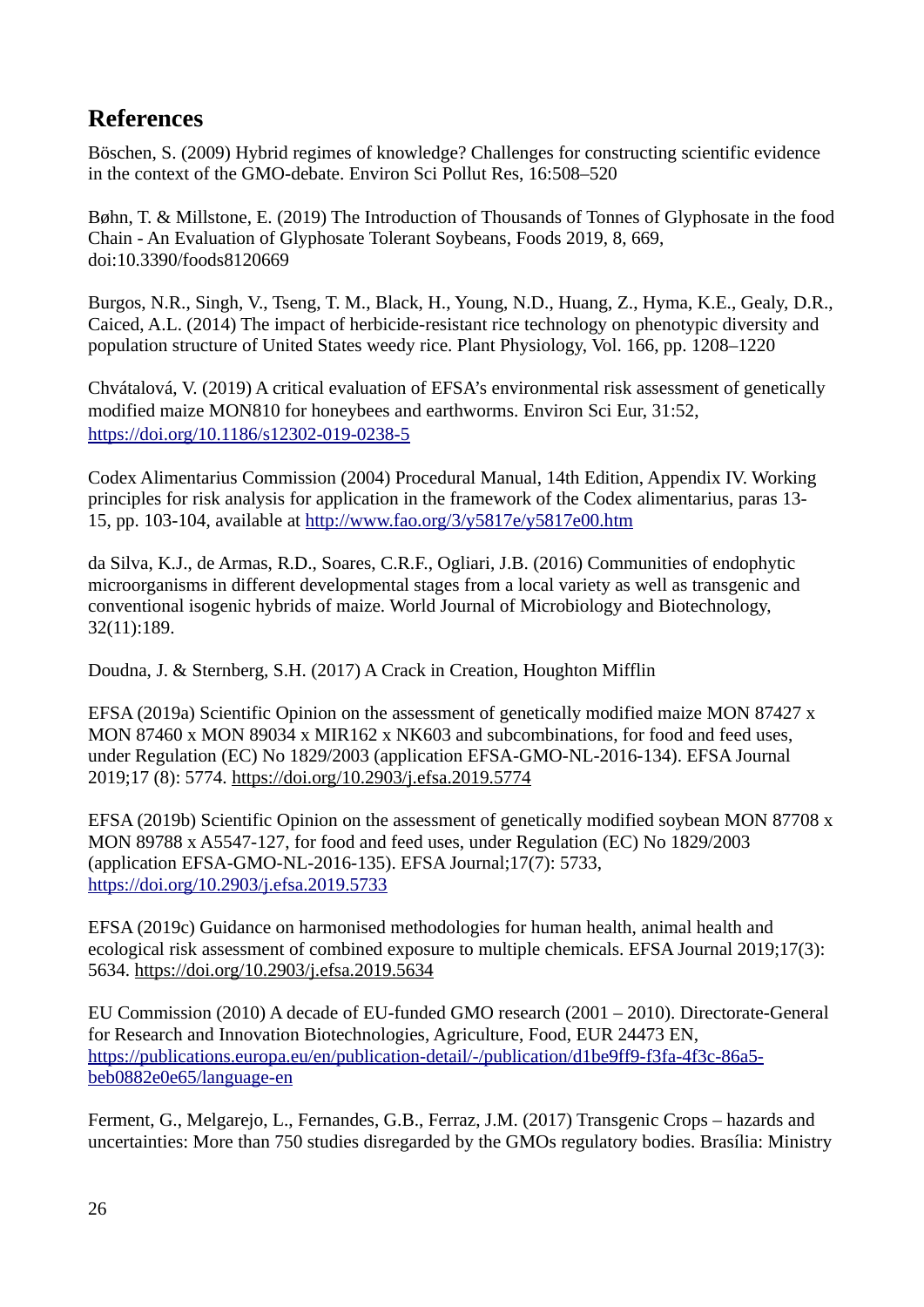# <span id="page-25-0"></span>**References**

Böschen, S. (2009) Hybrid regimes of knowledge? Challenges for constructing scientific evidence in the context of the GMO-debate. Environ Sci Pollut Res, 16:508–520

Bøhn, T. & Millstone, E. (2019) The Introduction of Thousands of Tonnes of Glyphosate in the food Chain - An Evaluation of Glyphosate Tolerant Soybeans, Foods 2019, 8, 669, doi:10.3390/foods8120669

Burgos, N.R., Singh, V., Tseng, T. M., Black, H., Young, N.D., Huang, Z., Hyma, K.E., Gealy, D.R., Caiced, A.L. (2014) The impact of herbicide-resistant rice technology on phenotypic diversity and population structure of United States weedy rice. Plant Physiology, Vol. 166, pp. 1208–1220

Chvátalová, V. (2019) A critical evaluation of EFSA's environmental risk assessment of genetically modified maize MON810 for honeybees and earthworms. Environ Sci Eur, 31:52, <https://doi.org/10.1186/s12302-019-0238-5>

Codex Alimentarius Commission (2004) Procedural Manual, 14th Edition, Appendix IV. Working principles for risk analysis for application in the framework of the Codex alimentarius, paras 13- 15, pp. 103-104, available at<http://www.fao.org/3/y5817e/y5817e00.htm>

da Silva, K.J., de Armas, R.D., Soares, C.R.F., Ogliari, J.B. (2016) Communities of endophytic microorganisms in different developmental stages from a local variety as well as transgenic and conventional isogenic hybrids of maize. World Journal of Microbiology and Biotechnology, 32(11):189.

Doudna, J. & Sternberg, S.H. (2017) A Crack in Creation, Houghton Mifflin

EFSA (2019a) Scientific Opinion on the assessment of genetically modified maize MON 87427 x MON 87460 x MON 89034 x MIR162 x NK603 and subcombinations, for food and feed uses, under Regulation (EC) No 1829/2003 (application EFSA-GMO-NL-2016-134). EFSA Journal 2019;17 (8): 5774.<https://doi.org/10.2903/j.efsa.2019.5774>

EFSA (2019b) Scientific Opinion on the assessment of genetically modified soybean MON 87708 x MON 89788 x A5547-127, for food and feed uses, under Regulation (EC) No 1829/2003 (application EFSA-GMO-NL-2016-135). EFSA Journal;17(7): 5733, <https://doi.org/10.2903/j.efsa.2019.5733>

EFSA (2019c) Guidance on harmonised methodologies for human health, animal health and ecological risk assessment of combined exposure to multiple chemicals. EFSA Journal 2019;17(3): 5634.<https://doi.org/10.2903/j.efsa.2019.5634>

EU Commission (2010) A decade of EU-funded GMO research (2001 – 2010). Directorate-General for Research and Innovation Biotechnologies, Agriculture, Food, EUR 24473 EN, [https://publications.europa.eu/en/publication-detail/-/publication/d1be9ff9-f3fa-4f3c-86a5](https://publications.europa.eu/en/publication-detail/-/publication/d1be9ff9-f3fa-4f3c-86a5-beb0882e0e65/language-en) [beb0882e0e65/language-en](https://publications.europa.eu/en/publication-detail/-/publication/d1be9ff9-f3fa-4f3c-86a5-beb0882e0e65/language-en) 

Ferment, G., Melgarejo, L., Fernandes, G.B., Ferraz, J.M. (2017) Transgenic Crops – hazards and uncertainties: More than 750 studies disregarded by the GMOs regulatory bodies. Brasília: Ministry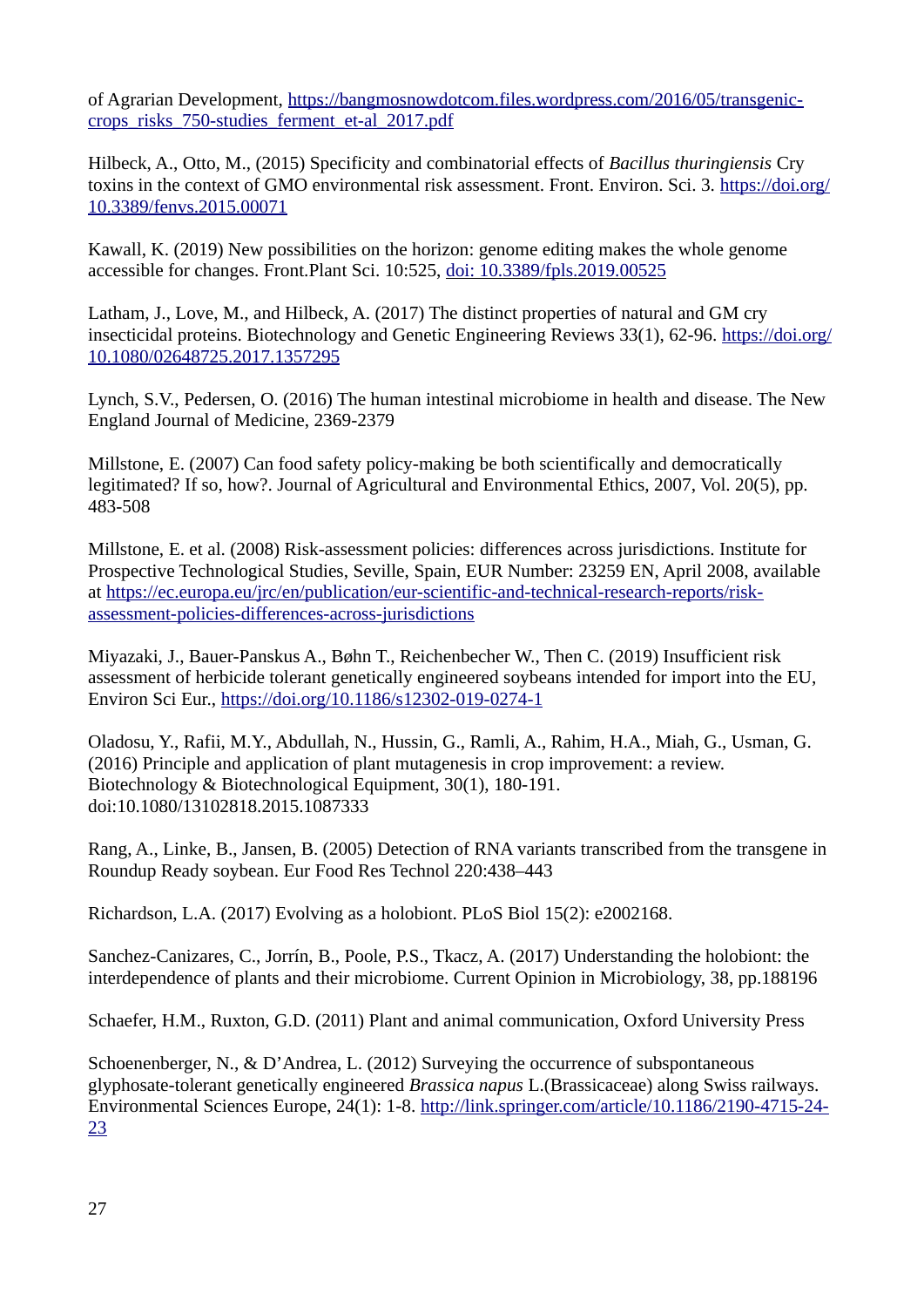of Agrarian Development, [https://bangmosnowdotcom.files.wordpress.com/2016/05/transgenic](https://bangmosnowdotcom.files.wordpress.com/2016/05/transgenic-crops_risks_750-studies_ferment_et-al_2017.pdf)[crops\\_risks\\_750-studies\\_ferment\\_et-al\\_2017.pdf](https://bangmosnowdotcom.files.wordpress.com/2016/05/transgenic-crops_risks_750-studies_ferment_et-al_2017.pdf)

Hilbeck, A., Otto, M., (2015) Specificity and combinatorial effects of *Bacillus thuringiensis* Cry toxins in the context of GMO environmental risk assessment. Front. Environ. Sci. 3. [https://doi.org/](https://doi.org/10.3389/fenvs.2015.00071) [10.3389/fenvs.2015.00071](https://doi.org/10.3389/fenvs.2015.00071) 

Kawall, K. (2019) New possibilities on the horizon: genome editing makes the whole genome accessible for changes. Front.Plant Sci. 10:525, [doi: 10.3389/fpls.2019.00525](http://journal.frontiersin.org/article/10.3389/fpls.2019.00525/full?&utm_source=Email_to_authors_&utm_medium=Email&utm_content=T1_11.5e1_author&utm_campaign=Email_publication&field=&journalName=Frontiers_in_Plant_Science&id=447494) 

Latham, J., Love, M., and Hilbeck, A. (2017) The distinct properties of natural and GM cry insecticidal proteins. Biotechnology and Genetic Engineering Reviews 33(1), 62-96. [https://doi.org/](https://doi.org/10.1080/02648725.2017.1357295) [10.1080/02648725.2017.1357295](https://doi.org/10.1080/02648725.2017.1357295)

Lynch, S.V., Pedersen, O. (2016) The human intestinal microbiome in health and disease. The New England Journal of Medicine, 2369-2379

Millstone, E. (2007) Can food safety policy-making be both scientifically and democratically legitimated? If so, how?. Journal of Agricultural and Environmental Ethics, 2007, Vol. 20(5), pp. 483-508

Millstone, E. et al. (2008) Risk-assessment policies: differences across jurisdictions. Institute for Prospective Technological Studies, Seville, Spain, EUR Number: 23259 EN, April 2008, available at [https://ec.europa.eu/jrc/en/publication/eur-scientific-and-technical-research-reports/risk](https://ec.europa.eu/jrc/en/publication/eur-scientific-and-technical-research-reports/risk-assessment-policies-differences-across-jurisdictions)[assessment-policies-differences-across-jurisdictions](https://ec.europa.eu/jrc/en/publication/eur-scientific-and-technical-research-reports/risk-assessment-policies-differences-across-jurisdictions)

Miyazaki, J., Bauer-Panskus A., Bøhn T., Reichenbecher W., Then C. (2019) Insufficient risk assessment of herbicide tolerant genetically engineered soybeans intended for import into the EU, Environ Sci Eur.,<https://doi.org/10.1186/s12302-019-0274-1>

Oladosu, Y., Rafii, M.Y., Abdullah, N., Hussin, G., Ramli, A., Rahim, H.A., Miah, G., Usman, G. (2016) Principle and application of plant mutagenesis in crop improvement: a review. Biotechnology & Biotechnological Equipment, 30(1), 180-191. doi:10.1080/13102818.2015.1087333

Rang, A., Linke, B., Jansen, B. (2005) Detection of RNA variants transcribed from the transgene in Roundup Ready soybean. Eur Food Res Technol 220:438–443

Richardson, L.A. (2017) Evolving as a holobiont. PLoS Biol 15(2): e2002168.

Sanchez-Canizares, C., Jorrín, B., Poole, P.S., Tkacz, A. (2017) Understanding the holobiont: the interdependence of plants and their microbiome. Current Opinion in Microbiology, 38, pp.188196

Schaefer, H.M., Ruxton, G.D. (2011) Plant and animal communication, Oxford University Press

Schoenenberger, N., & D'Andrea, L. (2012) Surveying the occurrence of subspontaneous glyphosate-tolerant genetically engineered *Brassica napus* L.(Brassicaceae) along Swiss railways. Environmental Sciences Europe, 24(1): 1-8. [http://link.springer.com/article/10.1186/2190-4715-24-](http://link.springer.com/article/10.1186/2190-4715-2423) [23](http://link.springer.com/article/10.1186/2190-4715-2423)